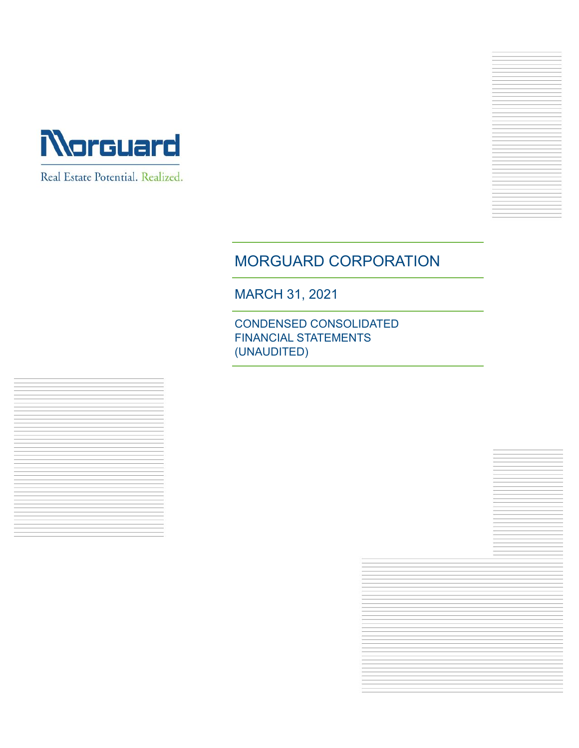

Real Estate Potential. Realized.

# MORGUARD CORPORATION

MARCH 31, 2021

CONDENSED CONSOLIDATED FINANCIAL STATEMENTS (UNAUDITED)

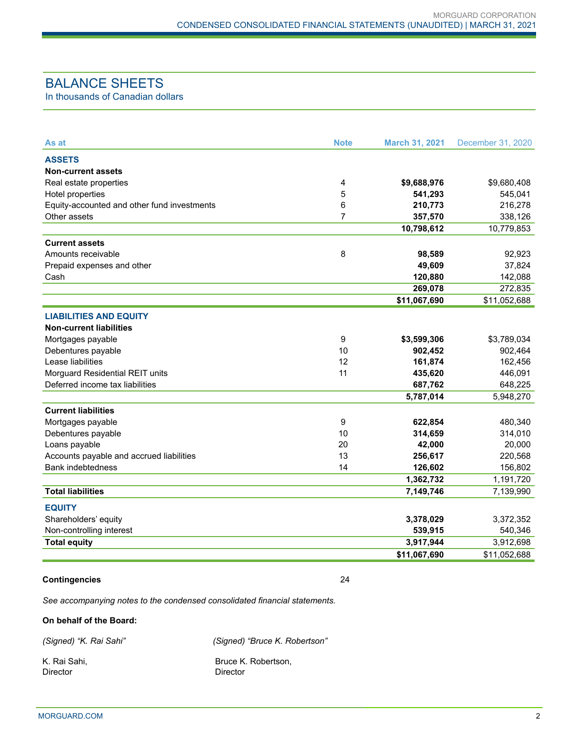# BALANCE SHEETS

In thousands of Canadian dollars

| As at                                       | <b>Note</b> | <b>March 31, 2021</b> | December 31, 2020 |
|---------------------------------------------|-------------|-----------------------|-------------------|
| <b>ASSETS</b>                               |             |                       |                   |
| <b>Non-current assets</b>                   |             |                       |                   |
| Real estate properties                      | 4           | \$9,688,976           | \$9,680,408       |
| Hotel properties                            | 5           | 541,293               | 545,041           |
| Equity-accounted and other fund investments | 6           | 210,773               | 216,278           |
| Other assets                                | 7           | 357,570               | 338,126           |
|                                             |             | 10,798,612            | 10,779,853        |
| <b>Current assets</b>                       |             |                       |                   |
| Amounts receivable                          | 8           | 98,589                | 92,923            |
| Prepaid expenses and other                  |             | 49,609                | 37,824            |
| Cash                                        |             | 120,880               | 142,088           |
|                                             |             | 269,078               | 272,835           |
|                                             |             | \$11,067,690          | \$11,052,688      |
| <b>LIABILITIES AND EQUITY</b>               |             |                       |                   |
| <b>Non-current liabilities</b>              |             |                       |                   |
| Mortgages payable                           | 9           | \$3,599,306           | \$3,789,034       |
| Debentures payable                          | 10          | 902,452               | 902,464           |
| Lease liabilities                           | 12          | 161,874               | 162,456           |
| Morguard Residential REIT units             | 11          | 435,620               | 446,091           |
| Deferred income tax liabilities             |             | 687,762               | 648,225           |
|                                             |             | 5,787,014             | 5,948,270         |
| <b>Current liabilities</b>                  |             |                       |                   |
| Mortgages payable                           | 9           | 622,854               | 480,340           |
| Debentures payable                          | 10          | 314,659               | 314,010           |
| Loans payable                               | 20          | 42,000                | 20,000            |
| Accounts payable and accrued liabilities    | 13          | 256,617               | 220,568           |
| <b>Bank indebtedness</b>                    | 14          | 126,602               | 156,802           |
|                                             |             | 1,362,732             | 1,191,720         |
| <b>Total liabilities</b>                    |             | 7,149,746             | 7,139,990         |
| <b>EQUITY</b>                               |             |                       |                   |
| Shareholders' equity                        |             | 3,378,029             | 3,372,352         |
| Non-controlling interest                    |             | 539,915               | 540,346           |
| <b>Total equity</b>                         |             | 3,917,944             | 3,912,698         |
|                                             |             | \$11,067,690          | \$11,052,688      |
|                                             |             |                       |                   |

#### **Contingencies** 24

*See accompanying notes to the condensed consolidated financial statements.*

#### **On behalf of the Board:**

| (Signed) "K. Rai Sahi" | (Signed) "Bruce K. Robertson" |
|------------------------|-------------------------------|
| - K. Rai Sahi.         | Bruce K. Robertson,           |
| Director               | Director                      |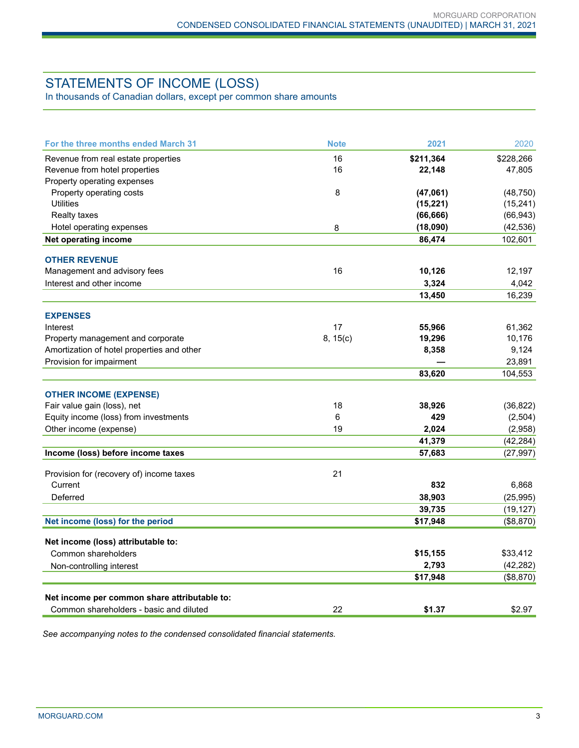# STATEMENTS OF INCOME (LOSS)

In thousands of Canadian dollars, except per common share amounts

| For the three months ended March 31          | <b>Note</b> | 2021      | 2020      |
|----------------------------------------------|-------------|-----------|-----------|
| Revenue from real estate properties          | 16          | \$211,364 | \$228,266 |
| Revenue from hotel properties                | 16          | 22,148    | 47,805    |
| Property operating expenses                  |             |           |           |
| Property operating costs                     | 8           | (47,061)  | (48, 750) |
| <b>Utilities</b>                             |             | (15, 221) | (15, 241) |
| <b>Realty taxes</b>                          |             | (66, 666) | (66, 943) |
| Hotel operating expenses                     | 8           | (18,090)  | (42, 536) |
| Net operating income                         |             | 86,474    | 102,601   |
| <b>OTHER REVENUE</b>                         |             |           |           |
| Management and advisory fees                 | 16          | 10,126    | 12,197    |
| Interest and other income                    |             | 3,324     | 4,042     |
|                                              |             | 13,450    | 16,239    |
| <b>EXPENSES</b>                              |             |           |           |
| Interest                                     | 17          | 55,966    | 61,362    |
| Property management and corporate            | 8, 15(c)    | 19,296    | 10,176    |
| Amortization of hotel properties and other   |             | 8,358     | 9,124     |
| Provision for impairment                     |             |           | 23,891    |
|                                              |             | 83,620    | 104,553   |
| <b>OTHER INCOME (EXPENSE)</b>                |             |           |           |
| Fair value gain (loss), net                  | 18          | 38,926    | (36, 822) |
| Equity income (loss) from investments        | 6           | 429       | (2,504)   |
| Other income (expense)                       | 19          | 2,024     | (2,958)   |
|                                              |             | 41,379    | (42, 284) |
| Income (loss) before income taxes            |             | 57,683    | (27, 997) |
| Provision for (recovery of) income taxes     | 21          |           |           |
| Current                                      |             | 832       | 6,868     |
| Deferred                                     |             | 38,903    | (25, 995) |
|                                              |             | 39,735    | (19, 127) |
| Net income (loss) for the period             |             | \$17,948  | (\$8,870) |
| Net income (loss) attributable to:           |             |           |           |
| Common shareholders                          |             | \$15,155  | \$33,412  |
| Non-controlling interest                     |             | 2,793     | (42, 282) |
|                                              |             | \$17,948  | (\$8,870) |
| Net income per common share attributable to: |             |           |           |
| Common shareholders - basic and diluted      | 22          | \$1.37    | \$2.97    |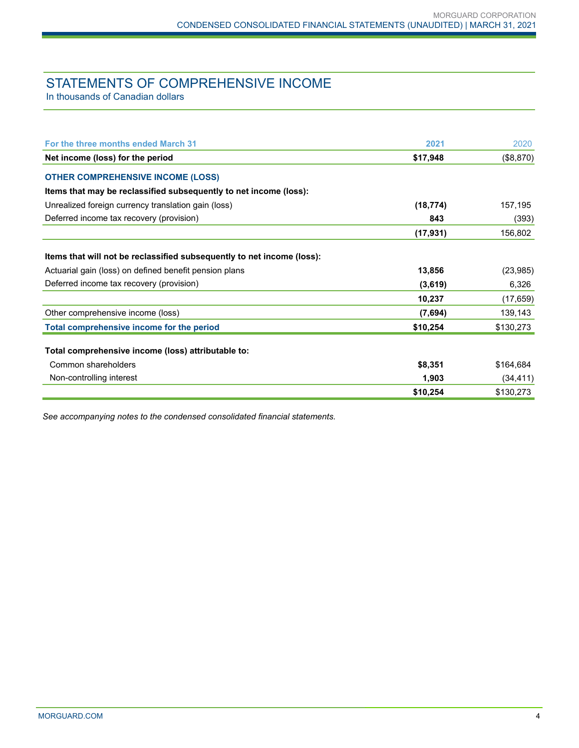# STATEMENTS OF COMPREHENSIVE INCOME

In thousands of Canadian dollars

| For the three months ended March 31                                    | 2021      | 2020      |
|------------------------------------------------------------------------|-----------|-----------|
| Net income (loss) for the period                                       | \$17,948  | (\$8,870) |
| <b>OTHER COMPREHENSIVE INCOME (LOSS)</b>                               |           |           |
| Items that may be reclassified subsequently to net income (loss):      |           |           |
| Unrealized foreign currency translation gain (loss)                    | (18, 774) | 157,195   |
| Deferred income tax recovery (provision)                               | 843       | (393)     |
|                                                                        | (17, 931) | 156,802   |
| Items that will not be reclassified subsequently to net income (loss): |           |           |
| Actuarial gain (loss) on defined benefit pension plans                 | 13,856    | (23, 985) |
| Deferred income tax recovery (provision)                               | (3,619)   | 6,326     |
|                                                                        | 10,237    | (17, 659) |
| Other comprehensive income (loss)                                      | (7,694)   | 139,143   |
| Total comprehensive income for the period                              | \$10,254  | \$130,273 |
| Total comprehensive income (loss) attributable to:                     |           |           |
| Common shareholders                                                    | \$8,351   | \$164,684 |
| Non-controlling interest                                               | 1,903     | (34, 411) |
|                                                                        | \$10,254  | \$130,273 |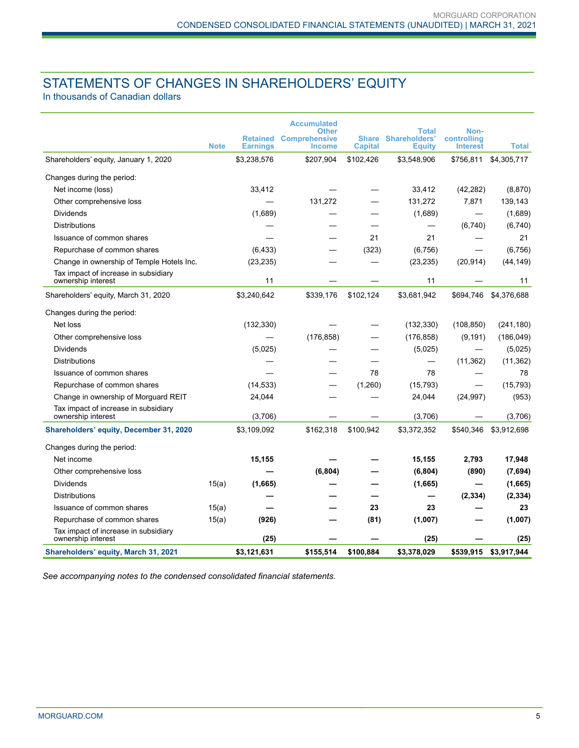# STATEMENTS OF CHANGES IN SHAREHOLDERS' EQUITY

In thousands of Canadian dollars

|                                                            |             |                 | <b>Accumulated</b>                   |                |                               |                     |              |
|------------------------------------------------------------|-------------|-----------------|--------------------------------------|----------------|-------------------------------|---------------------|--------------|
|                                                            |             | <b>Retained</b> | <b>Other</b><br><b>Comprehensive</b> | <b>Share</b>   | Total<br><b>Shareholders'</b> | Non-<br>controlling |              |
|                                                            | <b>Note</b> | <b>Earnings</b> | <b>Income</b>                        | <b>Capital</b> | <b>Equity</b>                 | <b>Interest</b>     | <b>Total</b> |
| Shareholders' equity, January 1, 2020                      |             | \$3,238,576     | \$207,904                            | \$102,426      | \$3,548,906                   | \$756,811           | \$4,305,717  |
| Changes during the period:                                 |             |                 |                                      |                |                               |                     |              |
| Net income (loss)                                          |             | 33,412          |                                      |                | 33,412                        | (42, 282)           | (8,870)      |
| Other comprehensive loss                                   |             |                 | 131,272                              |                | 131,272                       | 7,871               | 139,143      |
| <b>Dividends</b>                                           |             | (1,689)         |                                      |                | (1,689)                       |                     | (1,689)      |
| <b>Distributions</b>                                       |             |                 |                                      |                |                               | (6,740)             | (6,740)      |
| Issuance of common shares                                  |             |                 |                                      | 21             | 21                            |                     | 21           |
| Repurchase of common shares                                |             | (6, 433)        |                                      | (323)          | (6, 756)                      |                     | (6,756)      |
| Change in ownership of Temple Hotels Inc.                  |             | (23, 235)       |                                      |                | (23, 235)                     | (20, 914)           | (44, 149)    |
| Tax impact of increase in subsidiary<br>ownership interest |             | 11              |                                      |                | 11                            |                     | 11           |
| Shareholders' equity, March 31, 2020                       |             | \$3,240,642     | \$339,176                            | \$102,124      | \$3,681,942                   | \$694,746           | \$4,376,688  |
| Changes during the period:                                 |             |                 |                                      |                |                               |                     |              |
| Net loss                                                   |             | (132, 330)      |                                      |                | (132, 330)                    | (108, 850)          | (241, 180)   |
| Other comprehensive loss                                   |             |                 | (176, 858)                           |                | (176, 858)                    | (9, 191)            | (186, 049)   |
| Dividends                                                  |             | (5,025)         |                                      |                | (5,025)                       |                     | (5,025)      |
| <b>Distributions</b>                                       |             |                 |                                      |                |                               | (11, 362)           | (11, 362)    |
| Issuance of common shares                                  |             |                 |                                      | 78             | 78                            |                     | 78           |
| Repurchase of common shares                                |             | (14, 533)       |                                      | (1,260)        | (15, 793)                     |                     | (15, 793)    |
| Change in ownership of Morguard REIT                       |             | 24,044          |                                      |                | 24,044                        | (24, 997)           | (953)        |
| Tax impact of increase in subsidiary<br>ownership interest |             | (3,706)         |                                      |                | (3,706)                       |                     | (3,706)      |
| Shareholders' equity, December 31, 2020                    |             | \$3,109,092     | \$162,318                            | \$100,942      | \$3,372,352                   | \$540,346           | \$3,912,698  |
| Changes during the period:                                 |             |                 |                                      |                |                               |                     |              |
| Net income                                                 |             | 15,155          |                                      |                | 15,155                        | 2,793               | 17,948       |
| Other comprehensive loss                                   |             |                 | (6, 804)                             |                | (6, 804)                      | (890)               | (7,694)      |
| <b>Dividends</b>                                           | 15(a)       | (1,665)         |                                      |                | (1,665)                       |                     | (1,665)      |
| <b>Distributions</b>                                       |             |                 |                                      |                |                               | (2, 334)            | (2, 334)     |
| Issuance of common shares                                  | 15(a)       |                 |                                      | 23             | 23                            |                     | 23           |
| Repurchase of common shares                                | 15(a)       | (926)           |                                      | (81)           | (1,007)                       |                     | (1,007)      |
| Tax impact of increase in subsidiary<br>ownership interest |             | (25)            |                                      |                | (25)                          |                     | (25)         |
| Shareholders' equity, March 31, 2021                       |             | \$3,121,631     | \$155,514                            | \$100.884      | \$3,378,029                   | \$539,915           | \$3,917,944  |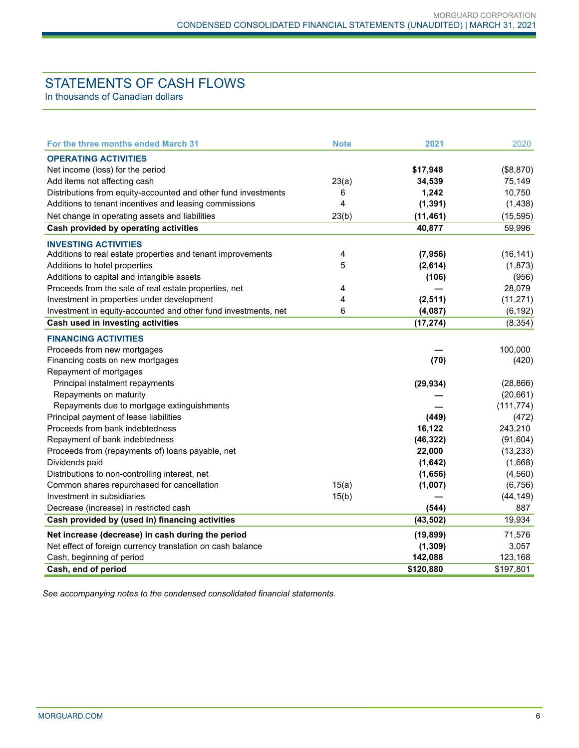# STATEMENTS OF CASH FLOWS

In thousands of Canadian dollars

| For the three months ended March 31                            | <b>Note</b> | 2021      | 2020       |
|----------------------------------------------------------------|-------------|-----------|------------|
| <b>OPERATING ACTIVITIES</b>                                    |             |           |            |
| Net income (loss) for the period                               |             | \$17,948  | (\$8,870)  |
| Add items not affecting cash                                   | 23(a)       | 34,539    | 75,149     |
| Distributions from equity-accounted and other fund investments | 6           | 1,242     | 10,750     |
| Additions to tenant incentives and leasing commissions         | 4           | (1, 391)  | (1, 438)   |
| Net change in operating assets and liabilities                 | 23(b)       | (11, 461) | (15, 595)  |
| Cash provided by operating activities                          |             | 40,877    | 59,996     |
| <b>INVESTING ACTIVITIES</b>                                    |             |           |            |
| Additions to real estate properties and tenant improvements    | 4           | (7, 956)  | (16, 141)  |
| Additions to hotel properties                                  | 5           | (2,614)   | (1,873)    |
| Additions to capital and intangible assets                     |             | (106)     | (956)      |
| Proceeds from the sale of real estate properties, net          | 4           |           | 28,079     |
| Investment in properties under development                     | 4           | (2, 511)  | (11, 271)  |
| Investment in equity-accounted and other fund investments, net | 6           | (4,087)   | (6, 192)   |
| Cash used in investing activities                              |             | (17, 274) | (8, 354)   |
| <b>FINANCING ACTIVITIES</b>                                    |             |           |            |
| Proceeds from new mortgages                                    |             |           | 100,000    |
| Financing costs on new mortgages                               |             | (70)      | (420)      |
| Repayment of mortgages                                         |             |           |            |
| Principal instalment repayments                                |             | (29, 934) | (28, 866)  |
| Repayments on maturity                                         |             |           | (20, 661)  |
| Repayments due to mortgage extinguishments                     |             |           | (111, 774) |
| Principal payment of lease liabilities                         |             | (449)     | (472)      |
| Proceeds from bank indebtedness                                |             | 16,122    | 243,210    |
| Repayment of bank indebtedness                                 |             | (46, 322) | (91, 604)  |
| Proceeds from (repayments of) loans payable, net               |             | 22,000    | (13, 233)  |
| Dividends paid                                                 |             | (1,642)   | (1,668)    |
| Distributions to non-controlling interest, net                 |             | (1,656)   | (4, 560)   |
| Common shares repurchased for cancellation                     | 15(a)       | (1,007)   | (6, 756)   |
| Investment in subsidiaries                                     | 15(b)       |           | (44, 149)  |
| Decrease (increase) in restricted cash                         |             | (544)     | 887        |
| Cash provided by (used in) financing activities                |             | (43, 502) | 19,934     |
| Net increase (decrease) in cash during the period              |             | (19, 899) | 71,576     |
| Net effect of foreign currency translation on cash balance     |             | (1, 309)  | 3,057      |
| Cash, beginning of period                                      |             | 142,088   | 123,168    |
| Cash, end of period                                            |             | \$120,880 | \$197,801  |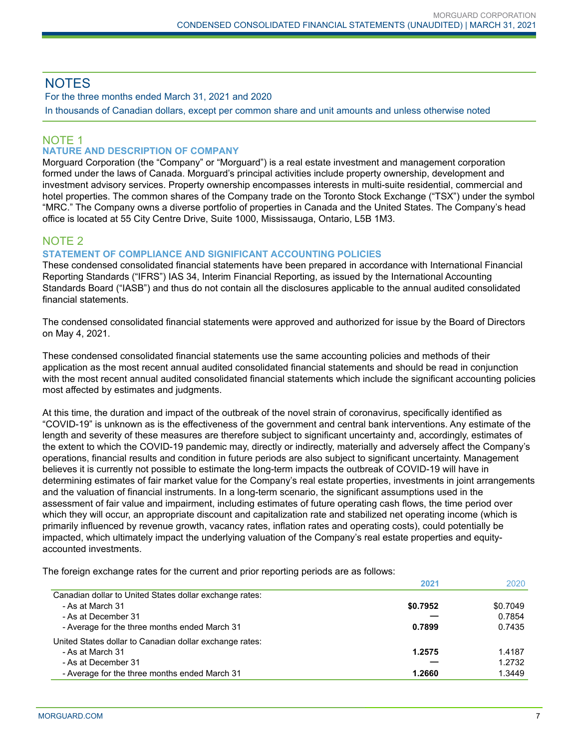# **NOTES**

For the three months ended March 31, 2021 and 2020

In thousands of Canadian dollars, except per common share and unit amounts and unless otherwise noted

# NOTE 1

# **NATURE AND DESCRIPTION OF COMPANY**

Morguard Corporation (the "Company" or "Morguard") is a real estate investment and management corporation formed under the laws of Canada. Morguard's principal activities include property ownership, development and investment advisory services. Property ownership encompasses interests in multi-suite residential, commercial and hotel properties. The common shares of the Company trade on the Toronto Stock Exchange ("TSX") under the symbol "MRC." The Company owns a diverse portfolio of properties in Canada and the United States. The Company's head office is located at 55 City Centre Drive, Suite 1000, Mississauga, Ontario, L5B 1M3.

# NOTE 2

### **STATEMENT OF COMPLIANCE AND SIGNIFICANT ACCOUNTING POLICIES**

These condensed consolidated financial statements have been prepared in accordance with International Financial Reporting Standards ("IFRS") IAS 34, Interim Financial Reporting, as issued by the International Accounting Standards Board ("IASB") and thus do not contain all the disclosures applicable to the annual audited consolidated financial statements.

The condensed consolidated financial statements were approved and authorized for issue by the Board of Directors on May 4, 2021.

These condensed consolidated financial statements use the same accounting policies and methods of their application as the most recent annual audited consolidated financial statements and should be read in conjunction with the most recent annual audited consolidated financial statements which include the significant accounting policies most affected by estimates and judgments.

At this time, the duration and impact of the outbreak of the novel strain of coronavirus, specifically identified as "COVID-19" is unknown as is the effectiveness of the government and central bank interventions. Any estimate of the length and severity of these measures are therefore subject to significant uncertainty and, accordingly, estimates of the extent to which the COVID-19 pandemic may, directly or indirectly, materially and adversely affect the Company's operations, financial results and condition in future periods are also subject to significant uncertainty. Management believes it is currently not possible to estimate the long-term impacts the outbreak of COVID-19 will have in determining estimates of fair market value for the Company's real estate properties, investments in joint arrangements and the valuation of financial instruments. In a long-term scenario, the significant assumptions used in the assessment of fair value and impairment, including estimates of future operating cash flows, the time period over which they will occur, an appropriate discount and capitalization rate and stabilized net operating income (which is primarily influenced by revenue growth, vacancy rates, inflation rates and operating costs), could potentially be impacted, which ultimately impact the underlying valuation of the Company's real estate properties and equityaccounted investments.

The foreign exchange rates for the current and prior reporting periods are as follows:

|                                                         | 2021     | 2020     |
|---------------------------------------------------------|----------|----------|
| Canadian dollar to United States dollar exchange rates: |          |          |
| - As at March 31                                        | \$0.7952 | \$0.7049 |
| - As at December 31                                     |          | 0.7854   |
| - Average for the three months ended March 31           | 0.7899   | 0.7435   |
| United States dollar to Canadian dollar exchange rates: |          |          |
| - As at March 31                                        | 1.2575   | 1.4187   |
| - As at December 31                                     |          | 1.2732   |
| - Average for the three months ended March 31           | 1.2660   | 1.3449   |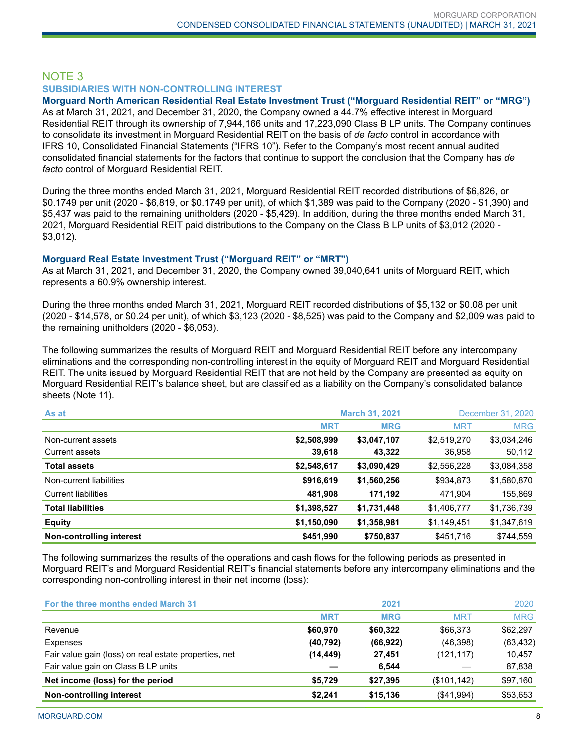## NOTE 3 **SUBSIDIARIES WITH NON-CONTROLLING INTEREST**

# **Morguard North American Residential Real Estate Investment Trust ("Morguard Residential REIT" or "MRG")**

As at March 31, 2021, and December 31, 2020, the Company owned a 44.7% effective interest in Morguard Residential REIT through its ownership of 7,944,166 units and 17,223,090 Class B LP units. The Company continues to consolidate its investment in Morguard Residential REIT on the basis of *de facto* control in accordance with IFRS 10, Consolidated Financial Statements ("IFRS 10"). Refer to the Company's most recent annual audited consolidated financial statements for the factors that continue to support the conclusion that the Company has *de facto* control of Morguard Residential REIT.

During the three months ended March 31, 2021, Morguard Residential REIT recorded distributions of \$6,826, or \$0.1749 per unit (2020 - \$6,819, or \$0.1749 per unit), of which \$1,389 was paid to the Company (2020 - \$1,390) and \$5,437 was paid to the remaining unitholders (2020 - \$5,429). In addition, during the three months ended March 31, 2021, Morguard Residential REIT paid distributions to the Company on the Class B LP units of \$3,012 (2020 - \$3,012).

#### **Morguard Real Estate Investment Trust ("Morguard REIT" or "MRT")**

As at March 31, 2021, and December 31, 2020, the Company owned 39,040,641 units of Morguard REIT, which represents a 60.9% ownership interest.

During the three months ended March 31, 2021, Morguard REIT recorded distributions of \$5,132 or \$0.08 per unit (2020 - \$14,578, or \$0.24 per unit), of which \$3,123 (2020 - \$8,525) was paid to the Company and \$2,009 was paid to the remaining unitholders (2020 - \$6,053).

The following summarizes the results of Morguard REIT and Morguard Residential REIT before any intercompany eliminations and the corresponding non-controlling interest in the equity of Morguard REIT and Morguard Residential REIT. The units issued by Morguard Residential REIT that are not held by the Company are presented as equity on Morguard Residential REIT's balance sheet, but are classified as a liability on the Company's consolidated balance sheets (Note 11).

| As at                      | <b>March 31, 2021</b> |             |             | December 31, 2020 |
|----------------------------|-----------------------|-------------|-------------|-------------------|
|                            | <b>MRT</b>            | <b>MRG</b>  | <b>MRT</b>  | <b>MRG</b>        |
| Non-current assets         | \$2,508,999           | \$3,047,107 | \$2,519,270 | \$3,034,246       |
| <b>Current assets</b>      | 39,618                | 43,322      | 36,958      | 50,112            |
| <b>Total assets</b>        | \$2,548,617           | \$3,090,429 | \$2,556,228 | \$3,084,358       |
| Non-current liabilities    | \$916,619             | \$1,560,256 | \$934,873   | \$1,580,870       |
| <b>Current liabilities</b> | 481,908               | 171,192     | 471,904     | 155,869           |
| <b>Total liabilities</b>   | \$1,398,527           | \$1,731,448 | \$1,406,777 | \$1,736,739       |
| <b>Equity</b>              | \$1,150,090           | \$1,358,981 | \$1,149,451 | \$1,347,619       |
| Non-controlling interest   | \$451,990             | \$750,837   | \$451,716   | \$744,559         |

The following summarizes the results of the operations and cash flows for the following periods as presented in Morguard REIT's and Morguard Residential REIT's financial statements before any intercompany eliminations and the corresponding non-controlling interest in their net income (loss):

| For the three months ended March 31                   |            | 2021       |              | 2020       |
|-------------------------------------------------------|------------|------------|--------------|------------|
|                                                       | <b>MRT</b> | <b>MRG</b> | <b>MRT</b>   | <b>MRG</b> |
| Revenue                                               | \$60,970   | \$60.322   | \$66,373     | \$62,297   |
| <b>Expenses</b>                                       | (40, 792)  | (66, 922)  | (46,398)     | (63, 432)  |
| Fair value gain (loss) on real estate properties, net | (14,449)   | 27,451     | (121, 117)   | 10,457     |
| Fair value gain on Class B LP units                   |            | 6,544      |              | 87,838     |
| Net income (loss) for the period                      | \$5,729    | \$27,395   | (\$101, 142) | \$97,160   |
| Non-controlling interest                              | \$2,241    | \$15,136   | (\$41,994)   | \$53,653   |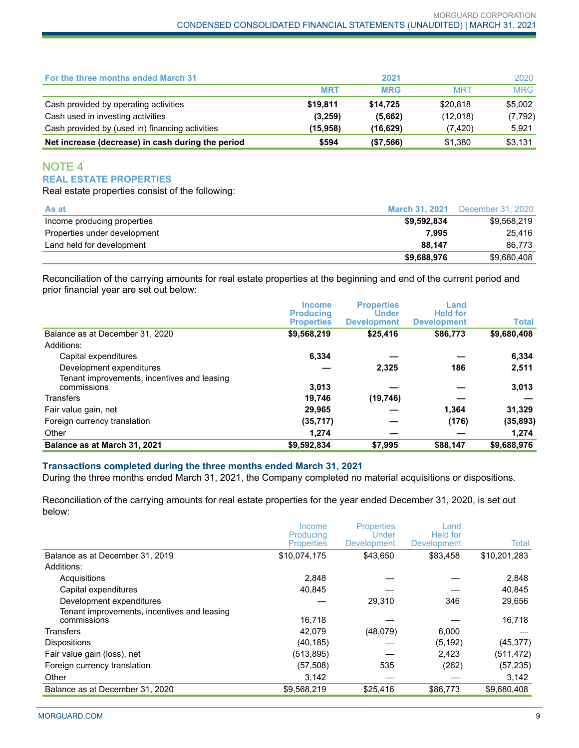| For the three months ended March 31               |            | 2021       |            | 2020       |
|---------------------------------------------------|------------|------------|------------|------------|
|                                                   | <b>MRT</b> | <b>MRG</b> | <b>MRT</b> | <b>MRG</b> |
| Cash provided by operating activities             | \$19.811   | \$14.725   | \$20,818   | \$5,002    |
| Cash used in investing activities                 | (3,259)    | (5,662)    | (12,018)   | (7, 792)   |
| Cash provided by (used in) financing activities   | (15.958)   | (16, 629)  | (7, 420)   | 5,921      |
| Net increase (decrease) in cash during the period | \$594      | ( \$7,566) | \$1,380    | \$3,131    |

# NOTE 4 **REAL ESTATE PROPERTIES**

Real estate properties consist of the following:

| As at                        | March 31, 2021 | December 31, 2020 |
|------------------------------|----------------|-------------------|
| Income producing properties  | \$9.592.834    | \$9.568.219       |
| Properties under development | 7.995          | 25.416            |
| Land held for development    | 88.147         | 86.773            |
|                              | \$9,688,976    | \$9.680.408       |

Reconciliation of the carrying amounts for real estate properties at the beginning and end of the current period and prior financial year are set out below:

|                                                            | <b>Income</b><br><b>Producing</b> | <b>Properties</b><br><b>Under</b> | Land<br><b>Held for</b> |              |
|------------------------------------------------------------|-----------------------------------|-----------------------------------|-------------------------|--------------|
|                                                            | <b>Properties</b>                 | <b>Development</b>                | <b>Development</b>      | <b>Total</b> |
| Balance as at December 31, 2020                            | \$9,568,219                       | \$25,416                          | \$86,773                | \$9,680,408  |
| Additions:                                                 |                                   |                                   |                         |              |
| Capital expenditures                                       | 6,334                             |                                   |                         | 6,334        |
| Development expenditures                                   |                                   | 2,325                             | 186                     | 2,511        |
| Tenant improvements, incentives and leasing<br>commissions | 3,013                             |                                   |                         | 3,013        |
| <b>Transfers</b>                                           | 19,746                            | (19, 746)                         |                         |              |
| Fair value gain, net                                       | 29,965                            |                                   | 1.364                   | 31,329       |
| Foreign currency translation                               | (35, 717)                         |                                   | (176)                   | (35, 893)    |
| Other                                                      | 1,274                             |                                   |                         | 1,274        |
| Balance as at March 31, 2021                               | \$9,592,834                       | \$7,995                           | \$88,147                | \$9,688,976  |

#### **Transactions completed during the three months ended March 31, 2021**

During the three months ended March 31, 2021, the Company completed no material acquisitions or dispositions.

Reconciliation of the carrying amounts for real estate properties for the year ended December 31, 2020, is set out below:

|                                                            | Income<br>Producing | <b>Properties</b><br>Under | Land<br><b>Held</b> for |              |
|------------------------------------------------------------|---------------------|----------------------------|-------------------------|--------------|
|                                                            | <b>Properties</b>   | <b>Development</b>         | <b>Development</b>      | Total        |
| Balance as at December 31, 2019                            | \$10,074,175        | \$43,650                   | \$83,458                | \$10,201,283 |
| Additions:                                                 |                     |                            |                         |              |
| Acquisitions                                               | 2,848               |                            |                         | 2,848        |
| Capital expenditures                                       | 40,845              |                            |                         | 40,845       |
| Development expenditures                                   |                     | 29,310                     | 346                     | 29,656       |
| Tenant improvements, incentives and leasing<br>commissions | 16,718              |                            |                         | 16,718       |
| <b>Transfers</b>                                           | 42,079              | (48,079)                   | 6,000                   |              |
| <b>Dispositions</b>                                        | (40, 185)           |                            | (5, 192)                | (45, 377)    |
| Fair value gain (loss), net                                | (513, 895)          |                            | 2,423                   | (511, 472)   |
| Foreign currency translation                               | (57, 508)           | 535                        | (262)                   | (57, 235)    |
| Other                                                      | 3,142               |                            |                         | 3,142        |
| Balance as at December 31, 2020                            | \$9,568,219         | \$25,416                   | \$86,773                | \$9,680,408  |
|                                                            |                     |                            |                         |              |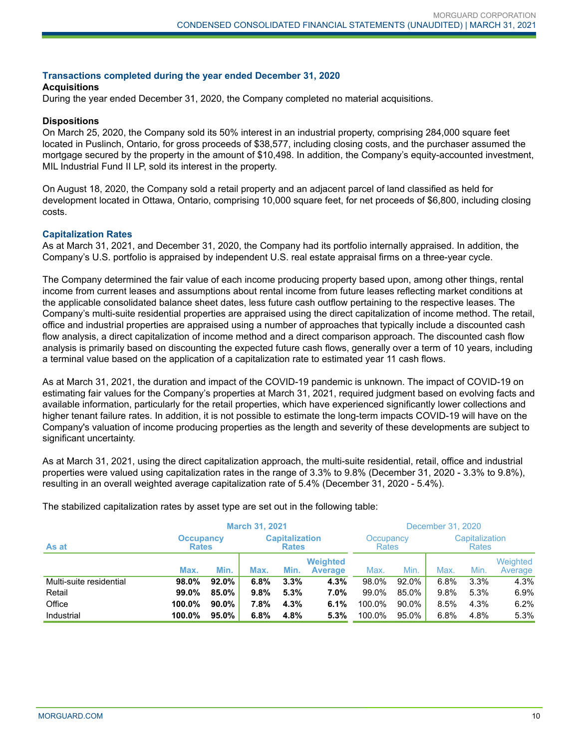#### **Transactions completed during the year ended December 31, 2020**

#### **Acquisitions**

During the year ended December 31, 2020, the Company completed no material acquisitions.

#### **Dispositions**

On March 25, 2020, the Company sold its 50% interest in an industrial property, comprising 284,000 square feet located in Puslinch, Ontario, for gross proceeds of \$38,577, including closing costs, and the purchaser assumed the mortgage secured by the property in the amount of \$10,498. In addition, the Company's equity-accounted investment, MIL Industrial Fund II LP, sold its interest in the property.

On August 18, 2020, the Company sold a retail property and an adjacent parcel of land classified as held for development located in Ottawa, Ontario, comprising 10,000 square feet, for net proceeds of \$6,800, including closing costs.

#### **Capitalization Rates**

As at March 31, 2021, and December 31, 2020, the Company had its portfolio internally appraised. In addition, the Company's U.S. portfolio is appraised by independent U.S. real estate appraisal firms on a three-year cycle.

The Company determined the fair value of each income producing property based upon, among other things, rental income from current leases and assumptions about rental income from future leases reflecting market conditions at the applicable consolidated balance sheet dates, less future cash outflow pertaining to the respective leases. The Company's multi-suite residential properties are appraised using the direct capitalization of income method. The retail, office and industrial properties are appraised using a number of approaches that typically include a discounted cash flow analysis, a direct capitalization of income method and a direct comparison approach. The discounted cash flow analysis is primarily based on discounting the expected future cash flows, generally over a term of 10 years, including a terminal value based on the application of a capitalization rate to estimated year 11 cash flows.

As at March 31, 2021, the duration and impact of the COVID-19 pandemic is unknown. The impact of COVID-19 on estimating fair values for the Company's properties at March 31, 2021, required judgment based on evolving facts and available information, particularly for the retail properties, which have experienced significantly lower collections and higher tenant failure rates. In addition, it is not possible to estimate the long-term impacts COVID-19 will have on the Company's valuation of income producing properties as the length and severity of these developments are subject to significant uncertainty.

As at March 31, 2021, using the direct capitalization approach, the multi-suite residential, retail, office and industrial properties were valued using capitalization rates in the range of 3.3% to 9.8% (December 31, 2020 - 3.3% to 9.8%), resulting in an overall weighted average capitalization rate of 5.4% (December 31, 2020 - 5.4%).

|                         |                                  | <b>March 31, 2021</b> |                                       |      |                                   | December 31, 2020 |                           |      |      |                                |  |
|-------------------------|----------------------------------|-----------------------|---------------------------------------|------|-----------------------------------|-------------------|---------------------------|------|------|--------------------------------|--|
| As at                   | <b>Occupancy</b><br><b>Rates</b> |                       | <b>Capitalization</b><br><b>Rates</b> |      |                                   |                   | Occupancy<br><b>Rates</b> |      |      | Capitalization<br><b>Rates</b> |  |
|                         | Max.                             | Min.                  | Max.                                  | Min. | <b>Weighted</b><br><b>Average</b> | Max.              | Min.                      | Max. | Min. | Weighted<br>Average            |  |
| Multi-suite residential | 98.0%                            | 92.0%                 | 6.8%                                  | 3.3% | 4.3%                              | 98.0%             | 92.0%                     | 6.8% | 3.3% | 4.3%                           |  |
| Retail                  | 99.0%                            | 85.0%                 | 9.8%                                  | 5.3% | $7.0\%$                           | 99.0%             | 85.0%                     | 9.8% | 5.3% | 6.9%                           |  |
| Office                  | 100.0%                           | $90.0\%$              | 7.8%                                  | 4.3% | 6.1%                              | 100.0%            | 90.0%                     | 8.5% | 4.3% | 6.2%                           |  |
| Industrial              | 100.0%                           | 95.0%                 | 6.8%                                  | 4.8% | 5.3%                              | 100.0%            | 95.0%                     | 6.8% | 4.8% | 5.3%                           |  |

The stabilized capitalization rates by asset type are set out in the following table: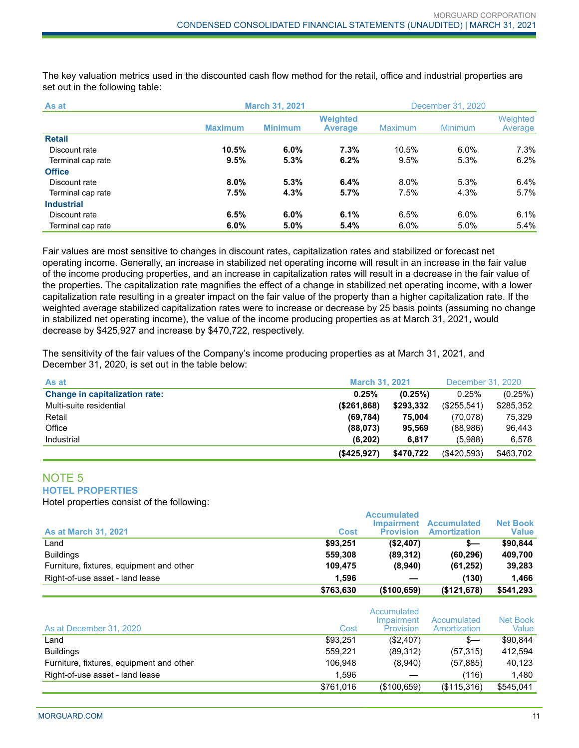The key valuation metrics used in the discounted cash flow method for the retail, office and industrial properties are set out in the following table:

| As at             |                | <b>March 31, 2021</b> |                                   |                | December 31, 2020 |                     |  |
|-------------------|----------------|-----------------------|-----------------------------------|----------------|-------------------|---------------------|--|
|                   | <b>Maximum</b> | <b>Minimum</b>        | <b>Weighted</b><br><b>Average</b> | <b>Maximum</b> | <b>Minimum</b>    | Weighted<br>Average |  |
| <b>Retail</b>     |                |                       |                                   |                |                   |                     |  |
| Discount rate     | 10.5%          | $6.0\%$               | 7.3%                              | 10.5%          | 6.0%              | 7.3%                |  |
| Terminal cap rate | 9.5%           | 5.3%                  | 6.2%                              | $9.5\%$        | 5.3%              | 6.2%                |  |
| <b>Office</b>     |                |                       |                                   |                |                   |                     |  |
| Discount rate     | $8.0\%$        | 5.3%                  | 6.4%                              | $8.0\%$        | 5.3%              | 6.4%                |  |
| Terminal cap rate | 7.5%           | 4.3%                  | 5.7%                              | 7.5%           | 4.3%              | 5.7%                |  |
| <b>Industrial</b> |                |                       |                                   |                |                   |                     |  |
| Discount rate     | 6.5%           | $6.0\%$               | 6.1%                              | 6.5%           | 6.0%              | 6.1%                |  |
| Terminal cap rate | 6.0%           | 5.0%                  | 5.4%                              | $6.0\%$        | 5.0%              | 5.4%                |  |

Fair values are most sensitive to changes in discount rates, capitalization rates and stabilized or forecast net operating income. Generally, an increase in stabilized net operating income will result in an increase in the fair value of the income producing properties, and an increase in capitalization rates will result in a decrease in the fair value of the properties. The capitalization rate magnifies the effect of a change in stabilized net operating income, with a lower capitalization rate resulting in a greater impact on the fair value of the property than a higher capitalization rate. If the weighted average stabilized capitalization rates were to increase or decrease by 25 basis points (assuming no change in stabilized net operating income), the value of the income producing properties as at March 31, 2021, would decrease by \$425,927 and increase by \$470,722, respectively.

The sensitivity of the fair values of the Company's income producing properties as at March 31, 2021, and December 31, 2020, is set out in the table below:

| As at                                 | <b>March 31, 2021</b> |           | December 31, 2020 |           |
|---------------------------------------|-----------------------|-----------|-------------------|-----------|
| <b>Change in capitalization rate:</b> | 0.25%                 | (0.25%)   | 0.25%             | (0.25%)   |
| Multi-suite residential               | (\$261,868)           | \$293,332 | (\$255,541)       | \$285,352 |
| Retail                                | (69, 784)             | 75.004    | (70,078)          | 75,329    |
| Office                                | (88,073)              | 95.569    | (88,986)          | 96.443    |
| Industrial                            | (6,202)               | 6,817     | (5,988)           | 6.578     |
|                                       | ( \$425, 927)         | \$470,722 | (\$420,593)       | \$463,702 |

#### NOTE 5 **HOTEL PROPERTIES**

Hotel properties consist of the following:

|                                          |           | <b>Accumulated</b><br>Impairment | <b>Accumulated</b>  | <b>Net Book</b> |
|------------------------------------------|-----------|----------------------------------|---------------------|-----------------|
| <b>As at March 31, 2021</b>              | Cost      | <b>Provision</b>                 | <b>Amortization</b> | <b>Value</b>    |
| Land                                     | \$93.251  | (\$2,407)                        | s—                  | \$90.844        |
| <b>Buildings</b>                         | 559.308   | (89.312)                         | (60, 296)           | 409.700         |
| Furniture, fixtures, equipment and other | 109.475   | (8,940)                          | (61, 252)           | 39,283          |
| Right-of-use asset - land lease          | 1.596     |                                  | (130)               | 1.466           |
|                                          | \$763,630 | (\$100,659)                      | (\$121,678)         | \$541,293       |

| As at December 31, 2020                  | Cost      | Accumulated<br>Impairment<br>Provision | Accumulated<br>Amortization | Net Book<br>Value |
|------------------------------------------|-----------|----------------------------------------|-----------------------------|-------------------|
| Land                                     | \$93.251  | (\$2,407)                              | s—                          | \$90.844          |
| <b>Buildings</b>                         | 559.221   | (89,312)                               | (57, 315)                   | 412.594           |
| Furniture, fixtures, equipment and other | 106.948   | (8,940)                                | (57, 885)                   | 40,123            |
| Right-of-use asset - land lease          | 1,596     |                                        | (116)                       | 1,480             |
|                                          | \$761.016 | (\$100,659)                            | (\$115,316)                 | \$545,041         |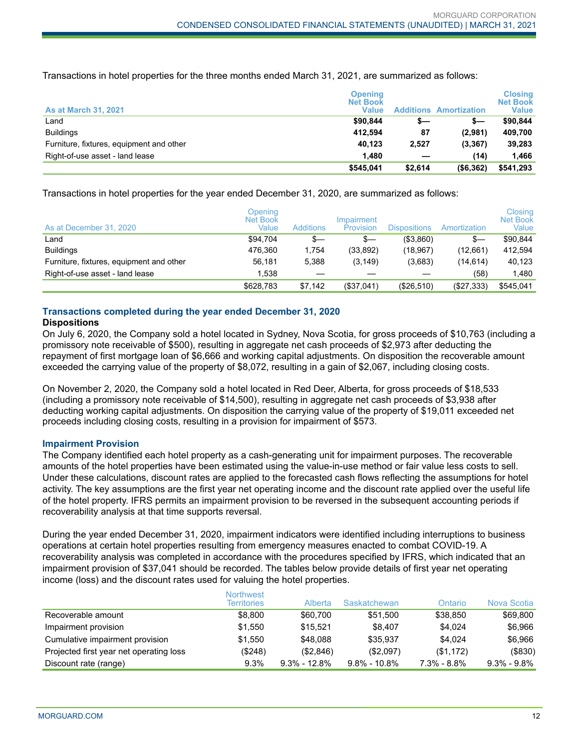Transactions in hotel properties for the three months ended March 31, 2021, are summarized as follows:

| <b>As at March 31, 2021</b>              | <b>Opening</b><br><b>Net Book</b><br>Value |         | <b>Additions Amortization</b> | <b>Closing</b><br><b>Net Book</b><br><b>Value</b> |
|------------------------------------------|--------------------------------------------|---------|-------------------------------|---------------------------------------------------|
| ∟and                                     | \$90.844                                   | s—      | s—                            | \$90.844                                          |
| <b>Buildings</b>                         | 412.594                                    | 87      | (2,981)                       | 409.700                                           |
| Furniture, fixtures, equipment and other | 40.123                                     | 2.527   | (3, 367)                      | 39,283                                            |
| Right-of-use asset - land lease          | 1.480                                      |         | (14)                          | 1.466                                             |
|                                          | \$545.041                                  | \$2.614 | ( \$6,362)                    | \$541,293                                         |

Transactions in hotel properties for the year ended December 31, 2020, are summarized as follows:

| As at December 31, 2020                  | Opening<br>Net Book<br>Value | <b>Additions</b> | Impairment<br>Provision | <b>Dispositions</b> | Amortization | Closing<br><b>Net Book</b><br>Value |
|------------------------------------------|------------------------------|------------------|-------------------------|---------------------|--------------|-------------------------------------|
| Land                                     | \$94.704                     | \$—              | s—                      | (\$3,860)           | \$—          | \$90.844                            |
| <b>Buildings</b>                         | 476.360                      | 1.754            | (33,892)                | (18, 967)           | (12,661)     | 412.594                             |
| Furniture, fixtures, equipment and other | 56,181                       | 5.388            | (3, 149)                | (3,683)             | (14, 614)    | 40,123                              |
| Right-of-use asset - land lease          | 1,538                        |                  |                         |                     | (58)         | 1.480                               |
|                                          | \$628.783                    | \$7,142          | (\$37,041)              | (\$26,510)          | (\$27,333)   | \$545.041                           |

# **Transactions completed during the year ended December 31, 2020**

#### **Dispositions**

On July 6, 2020, the Company sold a hotel located in Sydney, Nova Scotia, for gross proceeds of \$10,763 (including a promissory note receivable of \$500), resulting in aggregate net cash proceeds of \$2,973 after deducting the repayment of first mortgage loan of \$6,666 and working capital adjustments. On disposition the recoverable amount exceeded the carrying value of the property of \$8,072, resulting in a gain of \$2,067, including closing costs.

On November 2, 2020, the Company sold a hotel located in Red Deer, Alberta, for gross proceeds of \$18,533 (including a promissory note receivable of \$14,500), resulting in aggregate net cash proceeds of \$3,938 after deducting working capital adjustments. On disposition the carrying value of the property of \$19,011 exceeded net proceeds including closing costs, resulting in a provision for impairment of \$573.

#### **Impairment Provision**

The Company identified each hotel property as a cash-generating unit for impairment purposes. The recoverable amounts of the hotel properties have been estimated using the value-in-use method or fair value less costs to sell. Under these calculations, discount rates are applied to the forecasted cash flows reflecting the assumptions for hotel activity. The key assumptions are the first year net operating income and the discount rate applied over the useful life of the hotel property. IFRS permits an impairment provision to be reversed in the subsequent accounting periods if recoverability analysis at that time supports reversal.

During the year ended December 31, 2020, impairment indicators were identified including interruptions to business operations at certain hotel properties resulting from emergency measures enacted to combat COVID-19. A recoverability analysis was completed in accordance with the procedures specified by IFRS, which indicated that an impairment provision of \$37,041 should be recorded. The tables below provide details of first year net operating income (loss) and the discount rates used for valuing the hotel properties.

|                                         | <b>Northwest</b><br><b>Territories</b> | Alberta          | Saskatchewan     | Ontario     | Nova Scotia       |
|-----------------------------------------|----------------------------------------|------------------|------------------|-------------|-------------------|
| Recoverable amount                      | \$8.800                                | \$60,700         | \$51.500         | \$38,850    | \$69,800          |
| Impairment provision                    | \$1.550                                | \$15.521         | \$8.407          | \$4.024     | \$6,966           |
| Cumulative impairment provision         | \$1.550                                | \$48,088         | \$35.937         | \$4.024     | \$6,966           |
| Projected first year net operating loss | (\$248)                                | (S2.846)         | (S2.097)         | (\$1,172)   | ( \$830)          |
| Discount rate (range)                   | 9.3%                                   | $9.3\% - 12.8\%$ | $9.8\% - 10.8\%$ | 7.3% - 8.8% | $9.3\%$ - $9.8\%$ |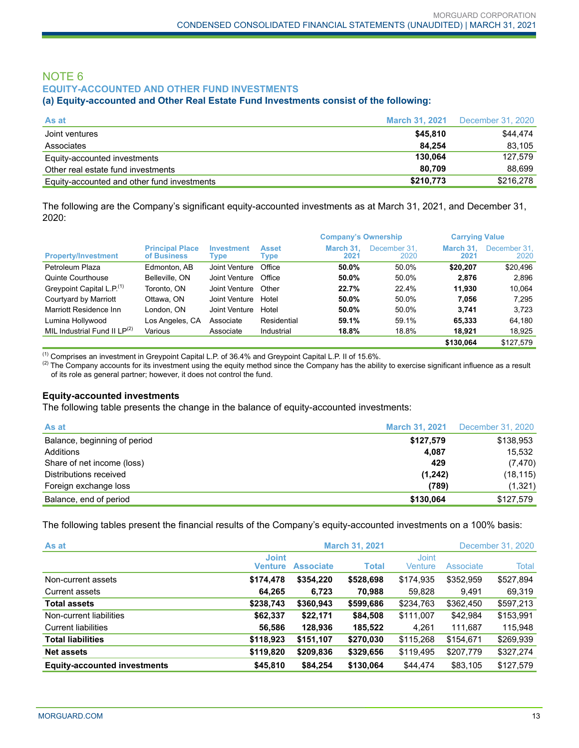# NOTE 6 **EQUITY-ACCOUNTED AND OTHER FUND INVESTMENTS**

#### **(a) Equity-accounted and Other Real Estate Fund Investments consist of the following:**

| As at                                       | <b>March 31, 2021</b> | December 31, 2020 |
|---------------------------------------------|-----------------------|-------------------|
| Joint ventures                              | \$45,810              | \$44,474          |
| Associates                                  | 84.254                | 83.105            |
| Equity-accounted investments                | 130.064               | 127.579           |
| Other real estate fund investments          | 80.709                | 88.699            |
| Equity-accounted and other fund investments | \$210,773             | \$216,278         |

The following are the Company's significant equity-accounted investments as at March 31, 2021, and December 31, 2020:

|                                       |                                       |                           |                      | <b>Company's Ownership</b> |                      | <b>Carrying Value</b> |                      |
|---------------------------------------|---------------------------------------|---------------------------|----------------------|----------------------------|----------------------|-----------------------|----------------------|
| <b>Property/Investment</b>            | <b>Principal Place</b><br>of Business | <b>Investment</b><br>Type | <b>Asset</b><br>Type | March 31.<br>2021          | December 31.<br>2020 | March 31.<br>2021     | December 31,<br>2020 |
| Petroleum Plaza                       | Edmonton, AB                          | Joint Venture             | Office               | 50.0%                      | 50.0%                | \$20,207              | \$20.496             |
| Quinte Courthouse                     | Belleville, ON                        | Joint Venture             | Office               | 50.0%                      | 50.0%                | 2.876                 | 2.896                |
| Greypoint Capital L.P. <sup>(1)</sup> | Toronto, ON                           | Joint Venture             | Other                | 22.7%                      | 22.4%                | 11.930                | 10.064               |
| Courtyard by Marriott                 | Ottawa, ON                            | Joint Venture             | Hotel                | 50.0%                      | 50.0%                | 7.056                 | 7.295                |
| Marriott Residence Inn                | London, ON                            | Joint Venture             | Hotel                | 50.0%                      | 50.0%                | 3.741                 | 3.723                |
| Lumina Hollywood                      | Los Angeles, CA                       | Associate                 | Residential          | 59.1%                      | 59.1%                | 65.333                | 64,180               |
| MIL Industrial Fund II $LP^{(2)}$     | Various                               | Associate                 | Industrial           | 18.8%                      | 18.8%                | 18.921                | 18.925               |
|                                       |                                       |                           |                      |                            |                      | \$130.064             | \$127.579            |

(1) Comprises an investment in Greypoint Capital L.P. of 36.4% and Greypoint Capital L.P. II of 15.6%.

<sup>(2)</sup> The Company accounts for its investment using the equity method since the Company has the ability to exercise significant influence as a result of its role as general partner; however, it does not control the fund.

#### **Equity-accounted investments**

The following table presents the change in the balance of equity-accounted investments:

| As at                        | <b>March 31, 2021</b> | December 31, 2020 |
|------------------------------|-----------------------|-------------------|
| Balance, beginning of period | \$127,579             | \$138,953         |
| Additions                    | 4.087                 | 15.532            |
| Share of net income (loss)   | 429                   | (7, 470)          |
| Distributions received       | (1,242)               | (18, 115)         |
| Foreign exchange loss        | (789)                 | (1,321)           |
| Balance, end of period       | \$130,064             | \$127,579         |

The following tables present the financial results of the Company's equity-accounted investments on a 100% basis:

| As at                               | <b>March 31, 2021</b>          |                  |              |                         |           | December 31, 2020 |
|-------------------------------------|--------------------------------|------------------|--------------|-------------------------|-----------|-------------------|
|                                     | <b>Joint</b><br><b>Venture</b> | <b>Associate</b> | <b>Total</b> | <b>Joint</b><br>Venture | Associate | Total             |
| Non-current assets                  | \$174,478                      | \$354,220        | \$528,698    | \$174,935               | \$352,959 | \$527,894         |
| Current assets                      | 64.265                         | 6.723            | 70.988       | 59.828                  | 9.491     | 69,319            |
| <b>Total assets</b>                 | \$238,743                      | \$360,943        | \$599,686    | \$234,763               | \$362,450 | \$597,213         |
| Non-current liabilities             | \$62,337                       | \$22,171         | \$84,508     | \$111,007               | \$42,984  | \$153,991         |
| <b>Current liabilities</b>          | 56,586                         | 128,936          | 185,522      | 4.261                   | 111.687   | 115,948           |
| <b>Total liabilities</b>            | \$118,923                      | \$151,107        | \$270,030    | \$115,268               | \$154,671 | \$269,939         |
| <b>Net assets</b>                   | \$119,820                      | \$209,836        | \$329,656    | \$119,495               | \$207,779 | \$327,274         |
| <b>Equity-accounted investments</b> | \$45,810                       | \$84.254         | \$130,064    | \$44,474                | \$83.105  | \$127.579         |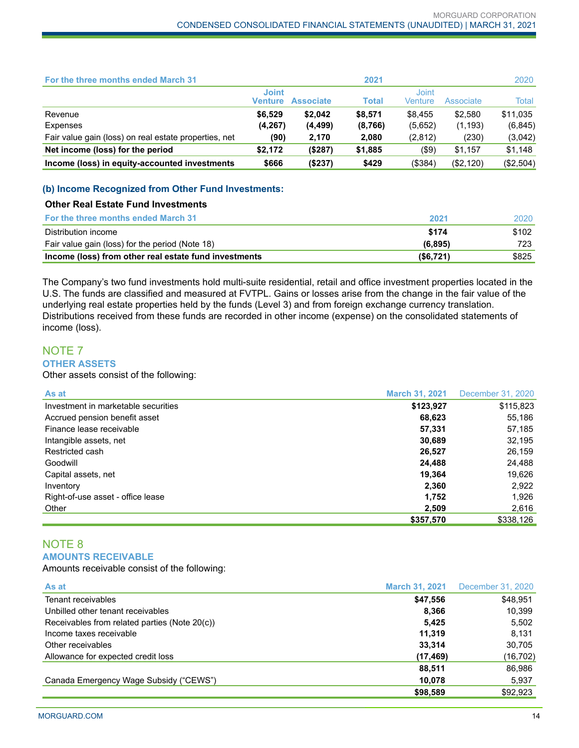| For the three months ended March 31                   |                         |                  | 2021    |                         |           | 2020      |
|-------------------------------------------------------|-------------------------|------------------|---------|-------------------------|-----------|-----------|
|                                                       | <b>Joint</b><br>Venture | <b>Associate</b> | Total   | <b>Joint</b><br>Venture | Associate | Total     |
| Revenue                                               | \$6.529                 | \$2.042          | \$8,571 | \$8.455                 | \$2.580   | \$11,035  |
| Expenses                                              | (4, 267)                | (4, 499)         | (8,766) | (5,652)                 | (1, 193)  | (6, 845)  |
| Fair value gain (loss) on real estate properties, net | (90)                    | 2,170            | 2,080   | (2,812)                 | (230)     | (3,042)   |
| Net income (loss) for the period                      | \$2.172                 | (\$287)          | \$1,885 | $(\$9)$                 | \$1,157   | \$1,148   |
| Income (loss) in equity-accounted investments         | \$666                   | (\$237)          | \$429   | (\$384)                 | (\$2,120) | (\$2,504) |

#### **(b) Income Recognized from Other Fund Investments:**

#### **Other Real Estate Fund Investments**

| <b>For the three months ended March 31</b>            | 2021     | 2020  |
|-------------------------------------------------------|----------|-------|
| Distribution income                                   | \$174    | \$102 |
| Fair value gain (loss) for the period (Note 18)       | (6.895)  | 723   |
| Income (loss) from other real estate fund investments | (S6.721) | \$825 |

The Company's two fund investments hold multi-suite residential, retail and office investment properties located in the U.S. The funds are classified and measured at FVTPL. Gains or losses arise from the change in the fair value of the underlying real estate properties held by the funds (Level 3) and from foreign exchange currency translation. Distributions received from these funds are recorded in other income (expense) on the consolidated statements of income (loss).

# NOTE 7 **OTHER ASSETS**

Other assets consist of the following:

| As at                               | <b>March 31, 2021</b> | December 31, 2020 |
|-------------------------------------|-----------------------|-------------------|
| Investment in marketable securities | \$123,927             | \$115,823         |
| Accrued pension benefit asset       | 68,623                | 55,186            |
| Finance lease receivable            | 57,331                | 57,185            |
| Intangible assets, net              | 30,689                | 32,195            |
| Restricted cash                     | 26,527                | 26,159            |
| Goodwill                            | 24,488                | 24,488            |
| Capital assets, net                 | 19,364                | 19,626            |
| Inventory                           | 2,360                 | 2,922             |
| Right-of-use asset - office lease   | 1,752                 | 1.926             |
| Other                               | 2,509                 | 2,616             |
|                                     | \$357,570             | \$338,126         |

### NOTE 8 **AMOUNTS RECEIVABLE**

Amounts receivable consist of the following:

| As at                                         | <b>March 31, 2021</b> | December 31, 2020 |
|-----------------------------------------------|-----------------------|-------------------|
| Tenant receivables                            | \$47,556              | \$48,951          |
| Unbilled other tenant receivables             | 8,366                 | 10,399            |
| Receivables from related parties (Note 20(c)) | 5.425                 | 5,502             |
| Income taxes receivable                       | 11.319                | 8.131             |
| Other receivables                             | 33,314                | 30,705            |
| Allowance for expected credit loss            | (17, 469)             | (16, 702)         |
|                                               | 88,511                | 86,986            |
| Canada Emergency Wage Subsidy ("CEWS")        | 10,078                | 5,937             |
|                                               | \$98,589              | \$92,923          |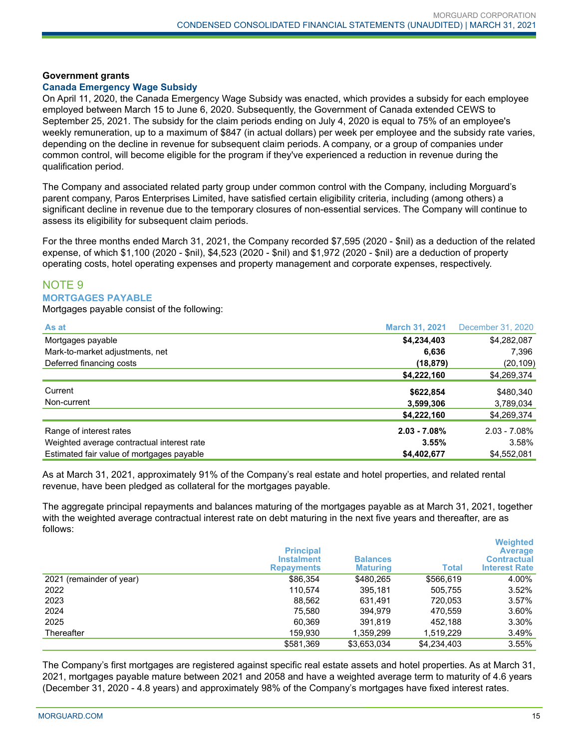#### **Government grants**

#### **Canada Emergency Wage Subsidy**

On April 11, 2020, the Canada Emergency Wage Subsidy was enacted, which provides a subsidy for each employee employed between March 15 to June 6, 2020. Subsequently, the Government of Canada extended CEWS to September 25, 2021. The subsidy for the claim periods ending on July 4, 2020 is equal to 75% of an employee's weekly remuneration, up to a maximum of \$847 (in actual dollars) per week per employee and the subsidy rate varies, depending on the decline in revenue for subsequent claim periods. A company, or a group of companies under common control, will become eligible for the program if they've experienced a reduction in revenue during the qualification period.

The Company and associated related party group under common control with the Company, including Morguard's parent company, Paros Enterprises Limited, have satisfied certain eligibility criteria, including (among others) a significant decline in revenue due to the temporary closures of non-essential services. The Company will continue to assess its eligibility for subsequent claim periods.

For the three months ended March 31, 2021, the Company recorded \$7,595 (2020 - \$nil) as a deduction of the related expense, of which \$1,100 (2020 - \$nil), \$4,523 (2020 - \$nil) and \$1,972 (2020 - \$nil) are a deduction of property operating costs, hotel operating expenses and property management and corporate expenses, respectively.

# NOTE 9 **MORTGAGES PAYABLE**

Mortgages payable consist of the following:

| As at                                      | <b>March 31, 2021</b> | December 31, 2020 |
|--------------------------------------------|-----------------------|-------------------|
| Mortgages payable                          | \$4,234,403           | \$4,282,087       |
| Mark-to-market adjustments, net            | 6,636                 | 7,396             |
| Deferred financing costs                   | (18, 879)             | (20, 109)         |
|                                            | \$4,222,160           | \$4,269,374       |
| Current                                    | \$622,854             | \$480.340         |
| Non-current                                | 3,599,306             | 3,789,034         |
|                                            | \$4,222,160           | \$4,269,374       |
| Range of interest rates                    | $2.03 - 7.08%$        | $2.03 - 7.08\%$   |
| Weighted average contractual interest rate | 3.55%                 | 3.58%             |
| Estimated fair value of mortgages payable  | \$4,402,677           | \$4,552,081       |

As at March 31, 2021, approximately 91% of the Company's real estate and hotel properties, and related rental revenue, have been pledged as collateral for the mortgages payable.

The aggregate principal repayments and balances maturing of the mortgages payable as at March 31, 2021, together with the weighted average contractual interest rate on debt maturing in the next five years and thereafter, are as follows:

|                          | <b>Principal</b><br><b>Instalment</b><br><b>Repayments</b> | <b>Balances</b><br><b>Maturing</b> | <b>Total</b> | <b>Weighted</b><br><b>Average</b><br><b>Contractual</b><br><b>Interest Rate</b> |
|--------------------------|------------------------------------------------------------|------------------------------------|--------------|---------------------------------------------------------------------------------|
| 2021 (remainder of year) | \$86,354                                                   | \$480,265                          | \$566,619    | 4.00%                                                                           |
| 2022                     | 110.574                                                    | 395,181                            | 505,755      | 3.52%                                                                           |
| 2023                     | 88.562                                                     | 631.491                            | 720.053      | 3.57%                                                                           |
| 2024                     | 75.580                                                     | 394.979                            | 470.559      | 3.60%                                                                           |
| 2025                     | 60.369                                                     | 391.819                            | 452.188      | 3.30%                                                                           |
| Thereafter               | 159,930                                                    | 1,359,299                          | 1.519.229    | 3.49%                                                                           |
|                          | \$581,369                                                  | \$3,653,034                        | \$4,234,403  | 3.55%                                                                           |

The Company's first mortgages are registered against specific real estate assets and hotel properties. As at March 31, 2021, mortgages payable mature between 2021 and 2058 and have a weighted average term to maturity of 4.6 years (December 31, 2020 - 4.8 years) and approximately 98% of the Company's mortgages have fixed interest rates.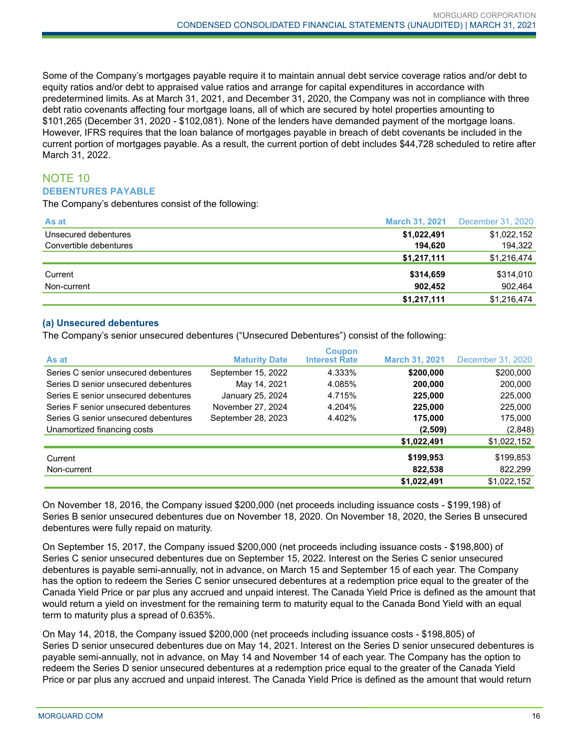Some of the Company's mortgages payable require it to maintain annual debt service coverage ratios and/or debt to equity ratios and/or debt to appraised value ratios and arrange for capital expenditures in accordance with predetermined limits. As at March 31, 2021, and December 31, 2020, the Company was not in compliance with three debt ratio covenants affecting four mortgage loans, all of which are secured by hotel properties amounting to \$101,265 (December 31, 2020 - \$102,081). None of the lenders have demanded payment of the mortgage loans. However, IFRS requires that the loan balance of mortgages payable in breach of debt covenants be included in the current portion of mortgages payable. As a result, the current portion of debt includes \$44,728 scheduled to retire after March 31, 2022.

# NOTE 10 **DEBENTURES PAYABLE**

The Company's debentures consist of the following:

| As at                  | <b>March 31, 2021</b> | December 31, 2020 |
|------------------------|-----------------------|-------------------|
| Unsecured debentures   | \$1,022,491           | \$1,022,152       |
| Convertible debentures | 194.620               | 194,322           |
|                        | \$1,217,111           | \$1,216,474       |
| Current                | \$314,659             | \$314,010         |
| Non-current            | 902.452               | 902,464           |
|                        | \$1,217,111           | \$1,216,474       |

#### **(a) Unsecured debentures**

The Company's senior unsecured debentures ("Unsecured Debentures") consist of the following:

| As at                                | <b>Maturity Date</b> | <b>Coupon</b><br><b>Interest Rate</b> | <b>March 31, 2021</b> | December 31, 2020 |
|--------------------------------------|----------------------|---------------------------------------|-----------------------|-------------------|
| Series C senior unsecured debentures | September 15, 2022   | 4.333%                                | \$200,000             | \$200,000         |
| Series D senior unsecured debentures | May 14, 2021         | 4.085%                                | 200,000               | 200,000           |
| Series E senior unsecured debentures | January 25, 2024     | 4.715%                                | 225,000               | 225,000           |
| Series F senior unsecured debentures | November 27, 2024    | 4.204%                                | 225,000               | 225,000           |
| Series G senior unsecured debentures | September 28, 2023   | 4.402%                                | 175,000               | 175,000           |
| Unamortized financing costs          |                      |                                       | (2,509)               | (2,848)           |
|                                      |                      |                                       | \$1,022,491           | \$1,022,152       |
| Current                              |                      |                                       | \$199,953             | \$199,853         |
| Non-current                          |                      |                                       | 822,538               | 822,299           |
|                                      |                      |                                       | \$1,022,491           | \$1,022,152       |

On November 18, 2016, the Company issued \$200,000 (net proceeds including issuance costs - \$199,198) of Series B senior unsecured debentures due on November 18, 2020. On November 18, 2020, the Series B unsecured debentures were fully repaid on maturity.

On September 15, 2017, the Company issued \$200,000 (net proceeds including issuance costs - \$198,800) of Series C senior unsecured debentures due on September 15, 2022. Interest on the Series C senior unsecured debentures is payable semi-annually, not in advance, on March 15 and September 15 of each year. The Company has the option to redeem the Series C senior unsecured debentures at a redemption price equal to the greater of the Canada Yield Price or par plus any accrued and unpaid interest. The Canada Yield Price is defined as the amount that would return a yield on investment for the remaining term to maturity equal to the Canada Bond Yield with an equal term to maturity plus a spread of 0.635%.

On May 14, 2018, the Company issued \$200,000 (net proceeds including issuance costs - \$198,805) of Series D senior unsecured debentures due on May 14, 2021. Interest on the Series D senior unsecured debentures is payable semi-annually, not in advance, on May 14 and November 14 of each year. The Company has the option to redeem the Series D senior unsecured debentures at a redemption price equal to the greater of the Canada Yield Price or par plus any accrued and unpaid interest. The Canada Yield Price is defined as the amount that would return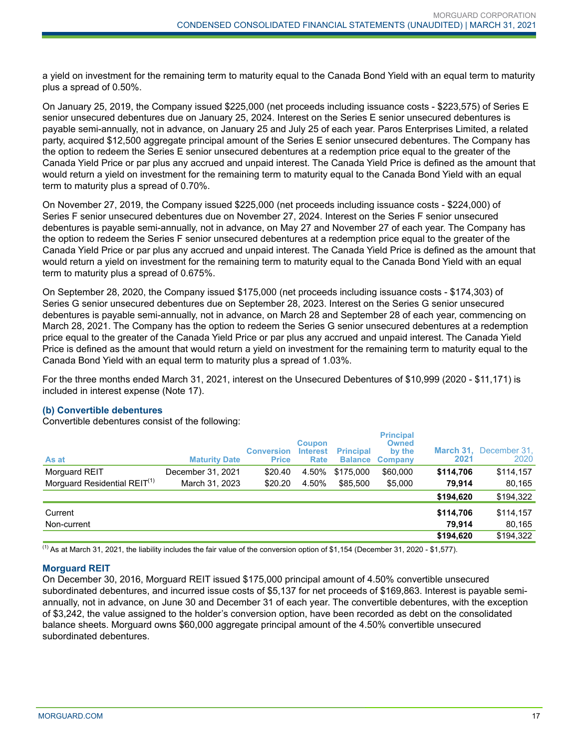a yield on investment for the remaining term to maturity equal to the Canada Bond Yield with an equal term to maturity plus a spread of 0.50%.

On January 25, 2019, the Company issued \$225,000 (net proceeds including issuance costs - \$223,575) of Series E senior unsecured debentures due on January 25, 2024. Interest on the Series E senior unsecured debentures is payable semi-annually, not in advance, on January 25 and July 25 of each year. Paros Enterprises Limited, a related party, acquired \$12,500 aggregate principal amount of the Series E senior unsecured debentures. The Company has the option to redeem the Series E senior unsecured debentures at a redemption price equal to the greater of the Canada Yield Price or par plus any accrued and unpaid interest. The Canada Yield Price is defined as the amount that would return a yield on investment for the remaining term to maturity equal to the Canada Bond Yield with an equal term to maturity plus a spread of 0.70%.

On November 27, 2019, the Company issued \$225,000 (net proceeds including issuance costs - \$224,000) of Series F senior unsecured debentures due on November 27, 2024. Interest on the Series F senior unsecured debentures is payable semi-annually, not in advance, on May 27 and November 27 of each year. The Company has the option to redeem the Series F senior unsecured debentures at a redemption price equal to the greater of the Canada Yield Price or par plus any accrued and unpaid interest. The Canada Yield Price is defined as the amount that would return a yield on investment for the remaining term to maturity equal to the Canada Bond Yield with an equal term to maturity plus a spread of 0.675%.

On September 28, 2020, the Company issued \$175,000 (net proceeds including issuance costs - \$174,303) of Series G senior unsecured debentures due on September 28, 2023. Interest on the Series G senior unsecured debentures is payable semi-annually, not in advance, on March 28 and September 28 of each year, commencing on March 28, 2021. The Company has the option to redeem the Series G senior unsecured debentures at a redemption price equal to the greater of the Canada Yield Price or par plus any accrued and unpaid interest. The Canada Yield Price is defined as the amount that would return a yield on investment for the remaining term to maturity equal to the Canada Bond Yield with an equal term to maturity plus a spread of 1.03%.

For the three months ended March 31, 2021, interest on the Unsecured Debentures of \$10,999 (2020 - \$11,171) is included in interest expense (Note 17).

#### **(b) Convertible debentures**

Convertible debentures consist of the following:

| <b>Maturity Date</b> | <b>Conversion</b><br><b>Price</b> | <b>Coupon</b><br><b>Interest</b><br><b>Rate</b> | <b>Principal</b><br><b>Balance</b> | <b>Owned</b><br>by the<br><b>Company</b> | 2021             | March 31, December 31,<br>2020 |
|----------------------|-----------------------------------|-------------------------------------------------|------------------------------------|------------------------------------------|------------------|--------------------------------|
| December 31, 2021    | \$20.40                           | 4.50%                                           | \$175,000                          | \$60,000                                 | \$114.706        | \$114,157                      |
| March 31, 2023       | \$20.20                           | 4.50%                                           | \$85,500                           | \$5,000                                  | 79.914           | 80,165                         |
|                      |                                   |                                                 |                                    |                                          | \$194,620        | \$194,322                      |
|                      |                                   |                                                 |                                    |                                          | \$114,706        | \$114,157                      |
|                      |                                   |                                                 |                                    |                                          | 79.914           | 80,165                         |
|                      |                                   |                                                 |                                    |                                          | \$194,620        | \$194,322                      |
|                      |                                   |                                                 |                                    |                                          | <b>Principal</b> |                                |

<sup>(1)</sup> As at March 31, 2021, the liability includes the fair value of the conversion option of \$1,154 (December 31, 2020 - \$1,577).

#### **Morguard REIT**

On December 30, 2016, Morguard REIT issued \$175,000 principal amount of 4.50% convertible unsecured subordinated debentures, and incurred issue costs of \$5,137 for net proceeds of \$169,863. Interest is payable semiannually, not in advance, on June 30 and December 31 of each year. The convertible debentures, with the exception of \$3,242, the value assigned to the holder's conversion option, have been recorded as debt on the consolidated balance sheets. Morguard owns \$60,000 aggregate principal amount of the 4.50% convertible unsecured subordinated debentures.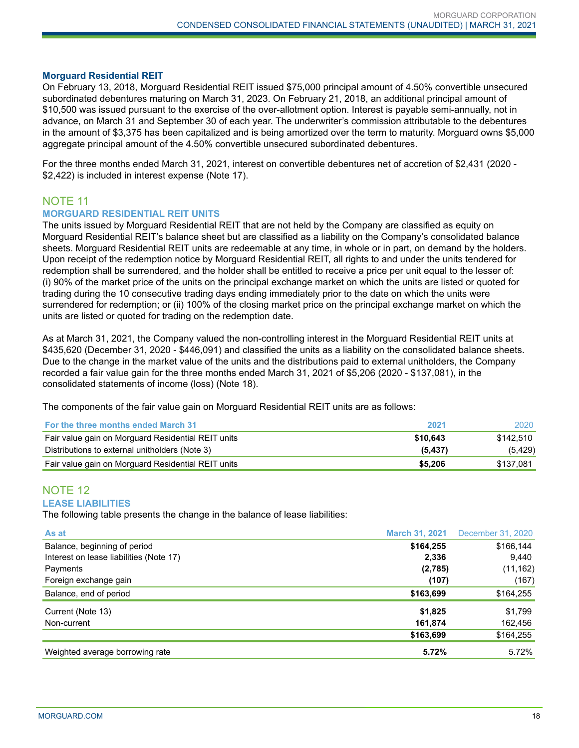#### **Morguard Residential REIT**

On February 13, 2018, Morguard Residential REIT issued \$75,000 principal amount of 4.50% convertible unsecured subordinated debentures maturing on March 31, 2023. On February 21, 2018, an additional principal amount of \$10,500 was issued pursuant to the exercise of the over-allotment option. Interest is payable semi-annually, not in advance, on March 31 and September 30 of each year. The underwriter's commission attributable to the debentures in the amount of \$3,375 has been capitalized and is being amortized over the term to maturity. Morguard owns \$5,000 aggregate principal amount of the 4.50% convertible unsecured subordinated debentures.

For the three months ended March 31, 2021, interest on convertible debentures net of accretion of \$2,431 (2020 - \$2,422) is included in interest expense (Note 17).

# NOTE 11

#### **MORGUARD RESIDENTIAL REIT UNITS**

The units issued by Morguard Residential REIT that are not held by the Company are classified as equity on Morguard Residential REIT's balance sheet but are classified as a liability on the Company's consolidated balance sheets. Morguard Residential REIT units are redeemable at any time, in whole or in part, on demand by the holders. Upon receipt of the redemption notice by Morguard Residential REIT, all rights to and under the units tendered for redemption shall be surrendered, and the holder shall be entitled to receive a price per unit equal to the lesser of: (i) 90% of the market price of the units on the principal exchange market on which the units are listed or quoted for trading during the 10 consecutive trading days ending immediately prior to the date on which the units were surrendered for redemption; or (ii) 100% of the closing market price on the principal exchange market on which the units are listed or quoted for trading on the redemption date.

As at March 31, 2021, the Company valued the non-controlling interest in the Morguard Residential REIT units at \$435,620 (December 31, 2020 - \$446,091) and classified the units as a liability on the consolidated balance sheets. Due to the change in the market value of the units and the distributions paid to external unitholders, the Company recorded a fair value gain for the three months ended March 31, 2021 of \$5,206 (2020 - \$137,081), in the consolidated statements of income (loss) (Note 18).

The components of the fair value gain on Morguard Residential REIT units are as follows:

| <b>For the three months ended March 31</b>         | 2021     | 2020      |
|----------------------------------------------------|----------|-----------|
| Fair value gain on Morguard Residential REIT units | \$10.643 | \$142.510 |
| Distributions to external unitholders (Note 3)     | (5, 437) | (5, 429)  |
| Fair value gain on Morguard Residential REIT units | \$5,206  | \$137.081 |

#### NOTE 12 **LEASE LIABILITIES**

The following table presents the change in the balance of lease liabilities:

| As at                                   | <b>March 31, 2021</b> | December 31, 2020 |
|-----------------------------------------|-----------------------|-------------------|
| Balance, beginning of period            | \$164,255             | \$166,144         |
| Interest on lease liabilities (Note 17) | 2,336                 | 9,440             |
| Payments                                | (2,785)               | (11, 162)         |
| Foreign exchange gain                   | (107)                 | (167)             |
| Balance, end of period                  | \$163,699             | \$164,255         |
| Current (Note 13)                       | \$1,825               | \$1,799           |
| Non-current                             | 161,874               | 162,456           |
|                                         | \$163,699             | \$164,255         |
| Weighted average borrowing rate         | 5.72%                 | 5.72%             |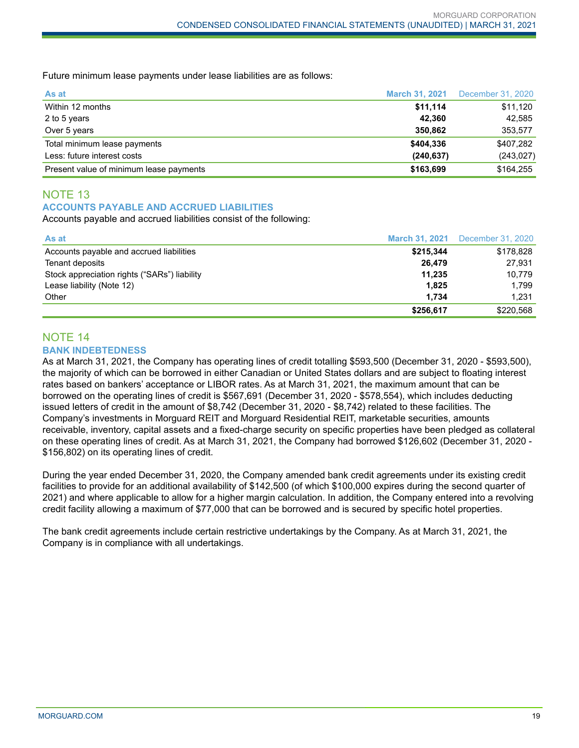Future minimum lease payments under lease liabilities are as follows:

| As at                                   |            | <b>March 31, 2021</b> December 31, 2020 |
|-----------------------------------------|------------|-----------------------------------------|
| Within 12 months                        | \$11,114   | \$11,120                                |
| 2 to 5 years                            | 42.360     | 42,585                                  |
| Over 5 years                            | 350.862    | 353,577                                 |
| Total minimum lease payments            | \$404,336  | \$407,282                               |
| Less: future interest costs             | (240, 637) | (243, 027)                              |
| Present value of minimum lease payments | \$163,699  | \$164,255                               |

# NOTE 13 **ACCOUNTS PAYABLE AND ACCRUED LIABILITIES**

Accounts payable and accrued liabilities consist of the following:

| As at                                        | <b>March 31, 2021</b> | December 31, 2020 |
|----------------------------------------------|-----------------------|-------------------|
| Accounts payable and accrued liabilities     | \$215,344             | \$178,828         |
| Tenant deposits                              | 26.479                | 27,931            |
| Stock appreciation rights ("SARs") liability | 11.235                | 10.779            |
| Lease liability (Note 12)                    | 1,825                 | 1.799             |
| Other                                        | 1.734                 | 1.231             |
|                                              | \$256,617             | \$220,568         |

#### NOTE 14 **BANK INDEBTEDNESS**

As at March 31, 2021, the Company has operating lines of credit totalling \$593,500 (December 31, 2020 - \$593,500), the majority of which can be borrowed in either Canadian or United States dollars and are subject to floating interest rates based on bankers' acceptance or LIBOR rates. As at March 31, 2021, the maximum amount that can be borrowed on the operating lines of credit is \$567,691 (December 31, 2020 - \$578,554), which includes deducting issued letters of credit in the amount of \$8,742 (December 31, 2020 - \$8,742) related to these facilities. The Company's investments in Morguard REIT and Morguard Residential REIT, marketable securities, amounts receivable, inventory, capital assets and a fixed-charge security on specific properties have been pledged as collateral on these operating lines of credit. As at March 31, 2021, the Company had borrowed \$126,602 (December 31, 2020 - \$156,802) on its operating lines of credit.

During the year ended December 31, 2020, the Company amended bank credit agreements under its existing credit facilities to provide for an additional availability of \$142,500 (of which \$100,000 expires during the second quarter of 2021) and where applicable to allow for a higher margin calculation. In addition, the Company entered into a revolving credit facility allowing a maximum of \$77,000 that can be borrowed and is secured by specific hotel properties.

The bank credit agreements include certain restrictive undertakings by the Company. As at March 31, 2021, the Company is in compliance with all undertakings.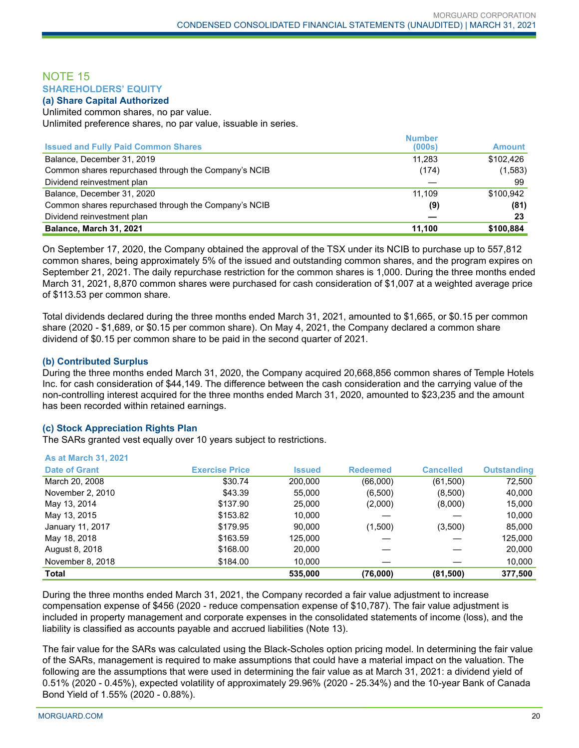## NOTE 15 **SHAREHOLDERS' EQUITY**

#### **(a) Share Capital Authorized**

Unlimited common shares, no par value. Unlimited preference shares, no par value, issuable in series.

|                                                      | <b>Number</b> |               |
|------------------------------------------------------|---------------|---------------|
| <b>Issued and Fully Paid Common Shares</b>           | (000s)        | <b>Amount</b> |
| Balance, December 31, 2019                           | 11.283        | \$102.426     |
| Common shares repurchased through the Company's NCIB | (174)         | (1, 583)      |
| Dividend reinvestment plan                           |               | 99            |
| Balance, December 31, 2020                           | 11.109        | \$100.942     |
| Common shares repurchased through the Company's NCIB | (9)           | (81)          |
| Dividend reinvestment plan                           |               | 23            |
| Balance, March 31, 2021                              | 11,100        | \$100,884     |

On September 17, 2020, the Company obtained the approval of the TSX under its NCIB to purchase up to 557,812 common shares, being approximately 5% of the issued and outstanding common shares, and the program expires on September 21, 2021. The daily repurchase restriction for the common shares is 1,000. During the three months ended March 31, 2021, 8,870 common shares were purchased for cash consideration of \$1,007 at a weighted average price of \$113.53 per common share.

Total dividends declared during the three months ended March 31, 2021, amounted to \$1,665, or \$0.15 per common share (2020 - \$1,689, or \$0.15 per common share). On May 4, 2021, the Company declared a common share dividend of \$0.15 per common share to be paid in the second quarter of 2021.

#### **(b) Contributed Surplus**

**As at March 31, 2021**

During the three months ended March 31, 2020, the Company acquired 20,668,856 common shares of Temple Hotels Inc. for cash consideration of \$44,149. The difference between the cash consideration and the carrying value of the non-controlling interest acquired for the three months ended March 31, 2020, amounted to \$23,235 and the amount has been recorded within retained earnings.

#### **(c) Stock Appreciation Rights Plan**

The SARs granted vest equally over 10 years subject to restrictions.

| <b>Total</b>          |                       | 535,000       | (76,000)        | (81, 500)        | 377,500            |
|-----------------------|-----------------------|---------------|-----------------|------------------|--------------------|
| November 8, 2018      | \$184.00              | 10.000        |                 |                  | 10,000             |
| August 8, 2018        | \$168.00              | 20,000        |                 |                  | 20,000             |
| May 18, 2018          | \$163.59              | 125,000       |                 |                  | 125,000            |
| January 11, 2017      | \$179.95              | 90.000        | (1,500)         | (3,500)          | 85,000             |
| May 13, 2015          | \$153.82              | 10,000        |                 |                  | 10,000             |
| May 13, 2014          | \$137.90              | 25,000        | (2,000)         | (8,000)          | 15,000             |
| November 2, 2010      | \$43.39               | 55,000        | (6,500)         | (8,500)          | 40,000             |
| March 20, 2008        | \$30.74               | 200,000       | (66,000)        | (61,500)         | 72,500             |
| <b>Date of Grant</b>  | <b>Exercise Price</b> | <b>Issued</b> | <b>Redeemed</b> | <b>Cancelled</b> | <b>Outstanding</b> |
| AS AL MAIGH JI, ZUZ I |                       |               |                 |                  |                    |

During the three months ended March 31, 2021, the Company recorded a fair value adjustment to increase compensation expense of \$456 (2020 - reduce compensation expense of \$10,787). The fair value adjustment is included in property management and corporate expenses in the consolidated statements of income (loss), and the liability is classified as accounts payable and accrued liabilities (Note 13).

The fair value for the SARs was calculated using the Black-Scholes option pricing model. In determining the fair value of the SARs, management is required to make assumptions that could have a material impact on the valuation. The following are the assumptions that were used in determining the fair value as at March 31, 2021: a dividend yield of 0.51% (2020 - 0.45%), expected volatility of approximately 29.96% (2020 - 25.34%) and the 10-year Bank of Canada Bond Yield of 1.55% (2020 - 0.88%).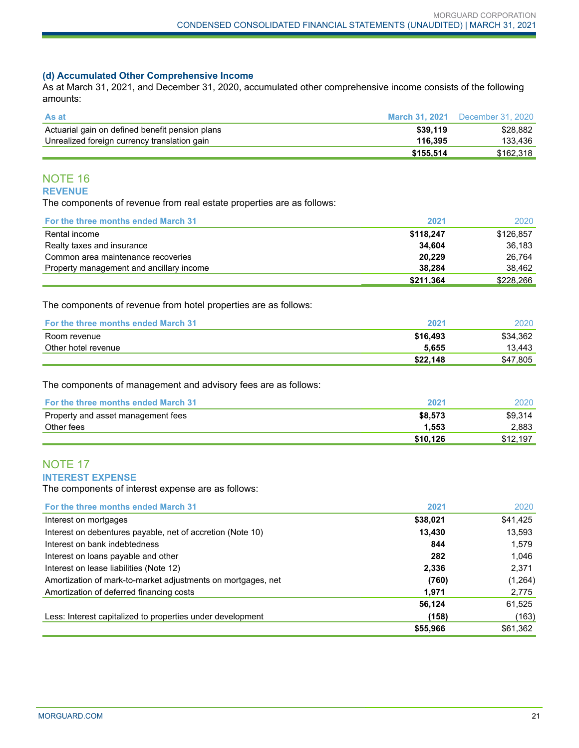#### **(d) Accumulated Other Comprehensive Income**

As at March 31, 2021, and December 31, 2020, accumulated other comprehensive income consists of the following amounts:

| <b>As at</b>                                    |           | <b>March 31, 2021</b> December 31, 2020 |
|-------------------------------------------------|-----------|-----------------------------------------|
| Actuarial gain on defined benefit pension plans | \$39.119  | \$28.882                                |
| Unrealized foreign currency translation gain    | 116.395   | 133.436                                 |
|                                                 | \$155.514 | \$162.318                               |

# NOTE 16 **REVENUE**

The components of revenue from real estate properties are as follows:

| <b>For the three months ended March 31</b> | 2021      | 2020      |
|--------------------------------------------|-----------|-----------|
| Rental income                              | \$118.247 | \$126.857 |
| Realty taxes and insurance                 | 34.604    | 36.183    |
| Common area maintenance recoveries         | 20.229    | 26.764    |
| Property management and ancillary income   | 38.284    | 38.462    |
|                                            | \$211.364 | \$228,266 |

The components of revenue from hotel properties are as follows:

| <b>For the three months ended March 31</b> | 202′     | 2020     |
|--------------------------------------------|----------|----------|
| Room revenue                               | \$16,493 | \$34.362 |
| Other hotel revenue                        | 5.655    | 13.443   |
|                                            | \$22.148 | \$47,805 |

The components of management and advisory fees are as follows:

| <b>For the three months ended March 31</b> | 2021     | 2020     |
|--------------------------------------------|----------|----------|
| Property and asset management fees         | \$8.573  | \$9.314  |
| Other fees                                 | 1.553    | 2,883    |
|                                            | \$10.126 | \$12,197 |

# NOTE 17 **INTEREST EXPENSE**

The components of interest expense are as follows:

| For the three months ended March 31                          | 2021     | 2020     |
|--------------------------------------------------------------|----------|----------|
| Interest on mortgages                                        | \$38,021 | \$41,425 |
| Interest on debentures payable, net of accretion (Note 10)   | 13,430   | 13,593   |
| Interest on bank indebtedness                                | 844      | 1,579    |
| Interest on loans payable and other                          | 282      | 1.046    |
| Interest on lease liabilities (Note 12)                      | 2,336    | 2,371    |
| Amortization of mark-to-market adjustments on mortgages, net | (760)    | (1,264)  |
| Amortization of deferred financing costs                     | 1,971    | 2,775    |
|                                                              | 56,124   | 61,525   |
| Less: Interest capitalized to properties under development   | (158)    | (163)    |
|                                                              | \$55,966 | \$61,362 |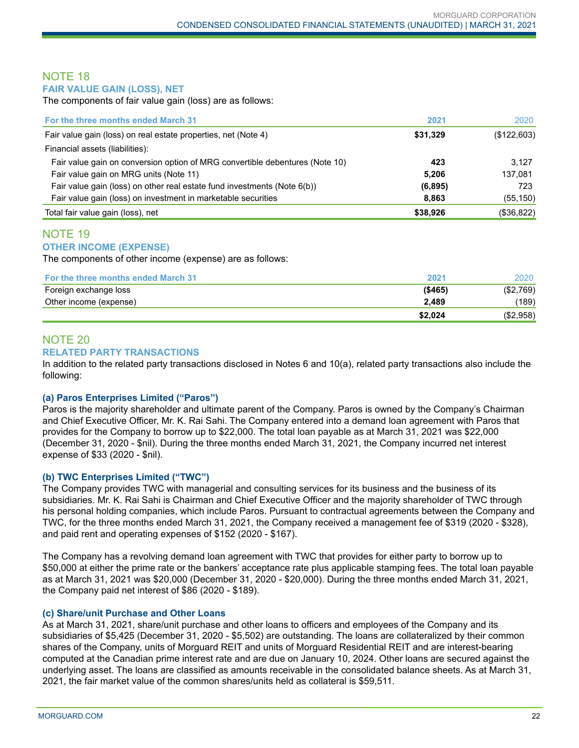### NOTE 18 **FAIR VALUE GAIN (LOSS), NET**

The components of fair value gain (loss) are as follows:

| For the three months ended March 31                                          | 2021     | 2020        |
|------------------------------------------------------------------------------|----------|-------------|
| Fair value gain (loss) on real estate properties, net (Note 4)               | \$31,329 | (\$122,603) |
| Financial assets (liabilities):                                              |          |             |
| Fair value gain on conversion option of MRG convertible debentures (Note 10) | 423      | 3.127       |
| Fair value gain on MRG units (Note 11)                                       | 5.206    | 137.081     |
| Fair value gain (loss) on other real estate fund investments (Note 6(b))     | (6, 895) | 723         |
| Fair value gain (loss) on investment in marketable securities                | 8,863    | (55, 150)   |
| Total fair value gain (loss), net                                            | \$38,926 | (\$36,822)  |

#### NOTE 19 **OTHER INCOME (EXPENSE)**

The components of other income (expense) are as follows:

| <b>For the three months ended March 31</b> | 2021    | 2020      |
|--------------------------------------------|---------|-----------|
| Foreign exchange loss                      | (\$465) | (\$2,769) |
| Other income (expense)                     | 2.489   | (189)     |
|                                            | \$2.024 | (\$2,958) |

#### NOTE 20 **RELATED PARTY TRANSACTIONS**

In addition to the related party transactions disclosed in Notes 6 and 10(a), related party transactions also include the following:

## **(a) Paros Enterprises Limited ("Paros")**

Paros is the majority shareholder and ultimate parent of the Company. Paros is owned by the Company's Chairman and Chief Executive Officer, Mr. K. Rai Sahi. The Company entered into a demand loan agreement with Paros that provides for the Company to borrow up to \$22,000. The total loan payable as at March 31, 2021 was \$22,000 (December 31, 2020 - \$nil). During the three months ended March 31, 2021, the Company incurred net interest expense of \$33 (2020 - \$nil).

## **(b) TWC Enterprises Limited ("TWC")**

The Company provides TWC with managerial and consulting services for its business and the business of its subsidiaries. Mr. K. Rai Sahi is Chairman and Chief Executive Officer and the majority shareholder of TWC through his personal holding companies, which include Paros. Pursuant to contractual agreements between the Company and TWC, for the three months ended March 31, 2021, the Company received a management fee of \$319 (2020 - \$328), and paid rent and operating expenses of \$152 (2020 - \$167).

The Company has a revolving demand loan agreement with TWC that provides for either party to borrow up to \$50,000 at either the prime rate or the bankers' acceptance rate plus applicable stamping fees. The total loan payable as at March 31, 2021 was \$20,000 (December 31, 2020 - \$20,000). During the three months ended March 31, 2021, the Company paid net interest of \$86 (2020 - \$189).

## **(c) Share/unit Purchase and Other Loans**

As at March 31, 2021, share/unit purchase and other loans to officers and employees of the Company and its subsidiaries of \$5,425 (December 31, 2020 - \$5,502) are outstanding. The loans are collateralized by their common shares of the Company, units of Morguard REIT and units of Morguard Residential REIT and are interest-bearing computed at the Canadian prime interest rate and are due on January 10, 2024. Other loans are secured against the underlying asset. The loans are classified as amounts receivable in the consolidated balance sheets. As at March 31, 2021, the fair market value of the common shares/units held as collateral is \$59,511.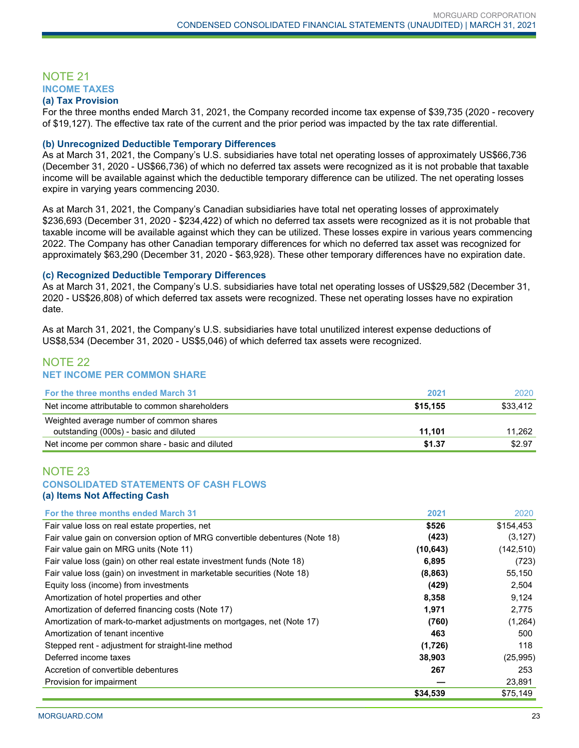# NOTE 21 **INCOME TAXES**

#### **(a) Tax Provision**

For the three months ended March 31, 2021, the Company recorded income tax expense of \$39,735 (2020 - recovery of \$19,127). The effective tax rate of the current and the prior period was impacted by the tax rate differential.

#### **(b) Unrecognized Deductible Temporary Differences**

As at March 31, 2021, the Company's U.S. subsidiaries have total net operating losses of approximately US\$66,736 (December 31, 2020 - US\$66,736) of which no deferred tax assets were recognized as it is not probable that taxable income will be available against which the deductible temporary difference can be utilized. The net operating losses expire in varying years commencing 2030.

As at March 31, 2021, the Company's Canadian subsidiaries have total net operating losses of approximately \$236,693 (December 31, 2020 - \$234,422) of which no deferred tax assets were recognized as it is not probable that taxable income will be available against which they can be utilized. These losses expire in various years commencing 2022. The Company has other Canadian temporary differences for which no deferred tax asset was recognized for approximately \$63,290 (December 31, 2020 - \$63,928). These other temporary differences have no expiration date.

#### **(c) Recognized Deductible Temporary Differences**

As at March 31, 2021, the Company's U.S. subsidiaries have total net operating losses of US\$29,582 (December 31, 2020 - US\$26,808) of which deferred tax assets were recognized. These net operating losses have no expiration date.

As at March 31, 2021, the Company's U.S. subsidiaries have total unutilized interest expense deductions of US\$8,534 (December 31, 2020 - US\$5,046) of which deferred tax assets were recognized.

# NOTE 22 **NET INCOME PER COMMON SHARE**

| <b>For the three months ended March 31</b>      | 2021     | 2020     |
|-------------------------------------------------|----------|----------|
| Net income attributable to common shareholders  | \$15.155 | \$33,412 |
| Weighted average number of common shares        |          |          |
| outstanding (000s) - basic and diluted          | 11.101   | 11.262   |
| Net income per common share - basic and diluted | \$1.37   | \$2.97   |

### NOTE 23 **CONSOLIDATED STATEMENTS OF CASH FLOWS (a) Items Not Affecting Cash**

| For the three months ended March 31                                          | 2021      | 2020       |
|------------------------------------------------------------------------------|-----------|------------|
| Fair value loss on real estate properties, net                               | \$526     | \$154,453  |
| Fair value gain on conversion option of MRG convertible debentures (Note 18) | (423)     | (3, 127)   |
| Fair value gain on MRG units (Note 11)                                       | (10, 643) | (142, 510) |
| Fair value loss (gain) on other real estate investment funds (Note 18)       | 6,895     | (723)      |
| Fair value loss (gain) on investment in marketable securities (Note 18)      | (8, 863)  | 55,150     |
| Equity loss (income) from investments                                        | (429)     | 2,504      |
| Amortization of hotel properties and other                                   | 8,358     | 9,124      |
| Amortization of deferred financing costs (Note 17)                           | 1,971     | 2,775      |
| Amortization of mark-to-market adjustments on mortgages, net (Note 17)       | (760)     | (1,264)    |
| Amortization of tenant incentive                                             | 463       | 500        |
| Stepped rent - adjustment for straight-line method                           | (1,726)   | 118        |
| Deferred income taxes                                                        | 38,903    | (25, 995)  |
| Accretion of convertible debentures                                          | 267       | 253        |
| Provision for impairment                                                     |           | 23,891     |
|                                                                              | \$34,539  | \$75,149   |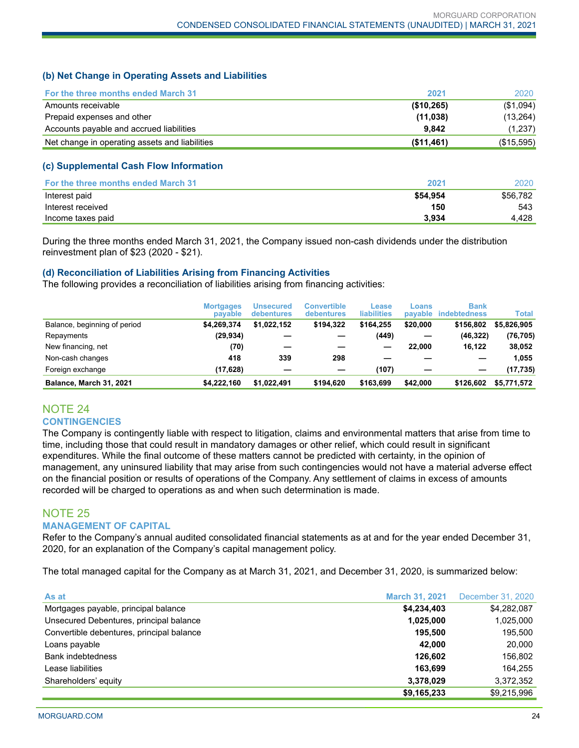## **(b) Net Change in Operating Assets and Liabilities**

| <b>For the three months ended March 31</b>     | 2021       | 2020       |
|------------------------------------------------|------------|------------|
| Amounts receivable                             | (\$10,265) | (\$1,094)  |
| Prepaid expenses and other                     | (11, 038)  | (13,264)   |
| Accounts payable and accrued liabilities       | 9.842      | (1,237)    |
| Net change in operating assets and liabilities | (\$11,461) | (\$15,595) |

### **(c) Supplemental Cash Flow Information**

| <b>For the three months ended March 31</b> | 2021     | 2020     |
|--------------------------------------------|----------|----------|
| Interest paid                              | \$54.954 | \$56.782 |
| Interest received                          | 150      | 543      |
| Income taxes paid                          | 3.934    | 4.428    |

During the three months ended March 31, 2021, the Company issued non-cash dividends under the distribution reinvestment plan of \$23 (2020 - \$21).

### **(d) Reconciliation of Liabilities Arising from Financing Activities**

The following provides a reconciliation of liabilities arising from financing activities:

|                              | <b>Mortgages</b><br>payable | <b>Unsecured</b><br>debentures | Convertible<br>debentures | Lease<br><b>liabilities</b> | Loans<br>payable | <b>Bank</b><br>indebtedness | Total       |
|------------------------------|-----------------------------|--------------------------------|---------------------------|-----------------------------|------------------|-----------------------------|-------------|
| Balance, beginning of period | \$4.269.374                 | \$1,022,152                    | \$194.322                 | \$164.255                   | \$20,000         | \$156,802                   | \$5,826,905 |
| Repayments                   | (29,934)                    |                                |                           | (449)                       |                  | (46, 322)                   | (76, 705)   |
| New financing, net           | (70)                        |                                |                           |                             | 22,000           | 16.122                      | 38.052      |
| Non-cash changes             | 418                         | 339                            | 298                       |                             |                  |                             | 1,055       |
| Foreign exchange             | (17,628)                    |                                |                           | (107)                       |                  | -                           | (17, 735)   |
| Balance, March 31, 2021      | \$4.222.160                 | \$1.022.491                    | \$194.620                 | \$163,699                   | \$42,000         | \$126,602                   | \$5,771,572 |

# NOTE 24 **CONTINGENCIES**

The Company is contingently liable with respect to litigation, claims and environmental matters that arise from time to time, including those that could result in mandatory damages or other relief, which could result in significant expenditures. While the final outcome of these matters cannot be predicted with certainty, in the opinion of management, any uninsured liability that may arise from such contingencies would not have a material adverse effect on the financial position or results of operations of the Company. Any settlement of claims in excess of amounts recorded will be charged to operations as and when such determination is made.

# NOTE 25

#### **MANAGEMENT OF CAPITAL**

Refer to the Company's annual audited consolidated financial statements as at and for the year ended December 31, 2020, for an explanation of the Company's capital management policy.

The total managed capital for the Company as at March 31, 2021, and December 31, 2020, is summarized below:

| As at                                     | <b>March 31, 2021</b> | December 31, 2020 |
|-------------------------------------------|-----------------------|-------------------|
| Mortgages payable, principal balance      | \$4,234,403           | \$4,282,087       |
| Unsecured Debentures, principal balance   | 1,025,000             | 1,025,000         |
| Convertible debentures, principal balance | 195.500               | 195,500           |
| Loans payable                             | 42.000                | 20,000            |
| <b>Bank indebtedness</b>                  | 126.602               | 156,802           |
| Lease liabilities                         | 163.699               | 164,255           |
| Shareholders' equity                      | 3,378,029             | 3,372,352         |
|                                           | \$9,165,233           | \$9.215.996       |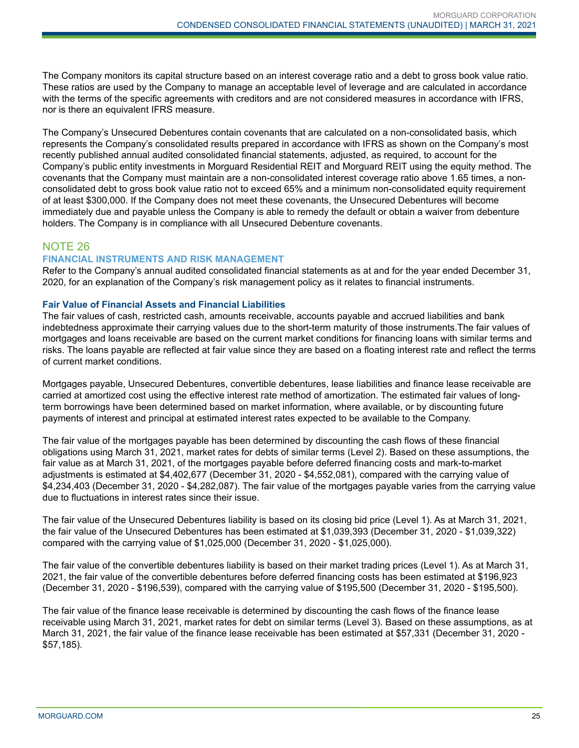The Company monitors its capital structure based on an interest coverage ratio and a debt to gross book value ratio. These ratios are used by the Company to manage an acceptable level of leverage and are calculated in accordance with the terms of the specific agreements with creditors and are not considered measures in accordance with IFRS, nor is there an equivalent IFRS measure.

The Company's Unsecured Debentures contain covenants that are calculated on a non-consolidated basis, which represents the Company's consolidated results prepared in accordance with IFRS as shown on the Company's most recently published annual audited consolidated financial statements, adjusted, as required, to account for the Company's public entity investments in Morguard Residential REIT and Morguard REIT using the equity method. The covenants that the Company must maintain are a non-consolidated interest coverage ratio above 1.65 times, a nonconsolidated debt to gross book value ratio not to exceed 65% and a minimum non-consolidated equity requirement of at least \$300,000. If the Company does not meet these covenants, the Unsecured Debentures will become immediately due and payable unless the Company is able to remedy the default or obtain a waiver from debenture holders. The Company is in compliance with all Unsecured Debenture covenants.

# NOTE 26

### **FINANCIAL INSTRUMENTS AND RISK MANAGEMENT**

Refer to the Company's annual audited consolidated financial statements as at and for the year ended December 31, 2020, for an explanation of the Company's risk management policy as it relates to financial instruments.

### **Fair Value of Financial Assets and Financial Liabilities**

The fair values of cash, restricted cash, amounts receivable, accounts payable and accrued liabilities and bank indebtedness approximate their carrying values due to the short-term maturity of those instruments.The fair values of mortgages and loans receivable are based on the current market conditions for financing loans with similar terms and risks. The loans payable are reflected at fair value since they are based on a floating interest rate and reflect the terms of current market conditions.

Mortgages payable, Unsecured Debentures, convertible debentures, lease liabilities and finance lease receivable are carried at amortized cost using the effective interest rate method of amortization. The estimated fair values of longterm borrowings have been determined based on market information, where available, or by discounting future payments of interest and principal at estimated interest rates expected to be available to the Company.

The fair value of the mortgages payable has been determined by discounting the cash flows of these financial obligations using March 31, 2021, market rates for debts of similar terms (Level 2). Based on these assumptions, the fair value as at March 31, 2021, of the mortgages payable before deferred financing costs and mark-to-market adjustments is estimated at \$4,402,677 (December 31, 2020 - \$4,552,081), compared with the carrying value of \$4,234,403 (December 31, 2020 - \$4,282,087). The fair value of the mortgages payable varies from the carrying value due to fluctuations in interest rates since their issue.

The fair value of the Unsecured Debentures liability is based on its closing bid price (Level 1). As at March 31, 2021, the fair value of the Unsecured Debentures has been estimated at \$1,039,393 (December 31, 2020 - \$1,039,322) compared with the carrying value of \$1,025,000 (December 31, 2020 - \$1,025,000).

The fair value of the convertible debentures liability is based on their market trading prices (Level 1). As at March 31, 2021, the fair value of the convertible debentures before deferred financing costs has been estimated at \$196,923 (December 31, 2020 - \$196,539), compared with the carrying value of \$195,500 (December 31, 2020 - \$195,500).

The fair value of the finance lease receivable is determined by discounting the cash flows of the finance lease receivable using March 31, 2021, market rates for debt on similar terms (Level 3). Based on these assumptions, as at March 31, 2021, the fair value of the finance lease receivable has been estimated at \$57,331 (December 31, 2020 - \$57,185).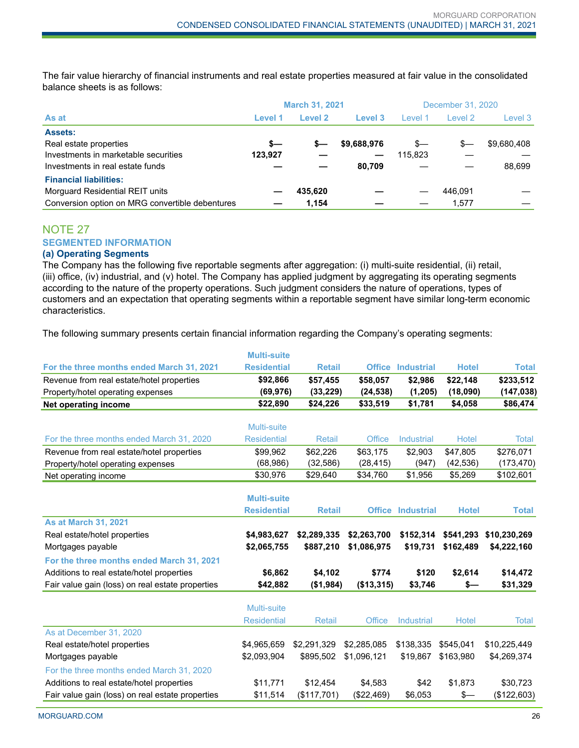The fair value hierarchy of financial instruments and real estate properties measured at fair value in the consolidated balance sheets is as follows:

|                                                 | <b>March 31, 2021</b> |         |             | December 31, 2020 |         |             |
|-------------------------------------------------|-----------------------|---------|-------------|-------------------|---------|-------------|
| As at                                           | Level 1               | Level 2 | Level 3     | Level 1           | Level 2 | Level 3     |
| <b>Assets:</b>                                  |                       |         |             |                   |         |             |
| Real estate properties                          | $s-$                  | s—      | \$9,688,976 | $s-$              | \$—     | \$9,680,408 |
| Investments in marketable securities            | 123,927               |         |             | 115,823           |         |             |
| Investments in real estate funds                |                       |         | 80.709      |                   |         | 88.699      |
| <b>Financial liabilities:</b>                   |                       |         |             |                   |         |             |
| Morguard Residential REIT units                 |                       | 435,620 |             |                   | 446.091 |             |
| Conversion option on MRG convertible debentures |                       | 1.154   |             |                   | 1.577   |             |

# NOTE 27 **SEGMENTED INFORMATION**

# **(a) Operating Segments**

The Company has the following five reportable segments after aggregation: (i) multi-suite residential, (ii) retail, (iii) office, (iv) industrial, and (v) hotel. The Company has applied judgment by aggregating its operating segments according to the nature of the property operations. Such judgment considers the nature of operations, types of customers and an expectation that operating segments within a reportable segment have similar long-term economic characteristics.

The following summary presents certain financial information regarding the Company's operating segments:

|                                                  | <b>Multi-suite</b> |               |               |                          |              |              |
|--------------------------------------------------|--------------------|---------------|---------------|--------------------------|--------------|--------------|
| For the three months ended March 31, 2021        | <b>Residential</b> | <b>Retail</b> |               | <b>Office Industrial</b> | <b>Hotel</b> | <b>Total</b> |
| Revenue from real estate/hotel properties        | \$92,866           | \$57,455      | \$58,057      | \$2.986                  | \$22,148     | \$233,512    |
| Property/hotel operating expenses                | (69, 976)          | (33, 229)     | (24, 538)     | (1,205)                  | (18,090)     | (147, 038)   |
| <b>Net operating income</b>                      | \$22,890           | \$24,226      | \$33,519      | \$1,781                  | \$4,058      | \$86,474     |
|                                                  |                    |               |               |                          |              |              |
|                                                  | <b>Multi-suite</b> |               |               |                          |              |              |
| For the three months ended March 31, 2020        | <b>Residential</b> | Retail        | Office        | <b>Industrial</b>        | <b>Hotel</b> | Total        |
| Revenue from real estate/hotel properties        | \$99,962           | \$62,226      | \$63,175      | \$2,903                  | \$47,805     | \$276,071    |
| Property/hotel operating expenses                | (68, 986)          | (32, 586)     | (28, 415)     | (947)                    | (42, 536)    | (173, 470)   |
| Net operating income                             | \$30,976           | \$29,640      | \$34,760      | \$1,956                  | \$5,269      | \$102,601    |
|                                                  |                    |               |               |                          |              |              |
|                                                  | <b>Multi-suite</b> |               |               |                          |              |              |
|                                                  | <b>Residential</b> | <b>Retail</b> |               | <b>Office Industrial</b> | <b>Hotel</b> | <b>Total</b> |
| <b>As at March 31, 2021</b>                      |                    |               |               |                          |              |              |
| Real estate/hotel properties                     | \$4,983,627        | \$2,289,335   | \$2,263,700   | \$152,314                | \$541,293    | \$10,230,269 |
| Mortgages payable                                | \$2,065,755        | \$887,210     | \$1,086,975   | \$19,731                 | \$162,489    | \$4,222,160  |
| For the three months ended March 31, 2021        |                    |               |               |                          |              |              |
| Additions to real estate/hotel properties        | \$6,862            | \$4,102       | \$774         | \$120                    | \$2,614      | \$14,472     |
| Fair value gain (loss) on real estate properties | \$42,882           | (\$1,984)     | (\$13,315)    | \$3,746                  | \$—          | \$31,329     |
|                                                  |                    |               |               |                          |              |              |
|                                                  | Multi-suite        |               |               |                          |              |              |
|                                                  | <b>Residential</b> | Retail        | <b>Office</b> | <b>Industrial</b>        | <b>Hotel</b> | Total        |
| As at December 31, 2020                          |                    |               |               |                          |              |              |
| Real estate/hotel properties                     | \$4,965,659        | \$2,291,329   | \$2,285,085   | \$138,335                | \$545,041    | \$10,225,449 |
| Mortgages payable                                | \$2,093,904        | \$895,502     | \$1,096,121   | \$19.867                 | \$163.980    | \$4,269,374  |
| For the three months ended March 31, 2020        |                    |               |               |                          |              |              |
| Additions to real estate/hotel properties        | \$11,771           | \$12,454      | \$4,583       | \$42                     | \$1,873      | \$30,723     |
| Fair value gain (loss) on real estate properties | \$11,514           | (\$117,701)   | (\$22,469)    | \$6,053                  | \$—          | (\$122,603)  |